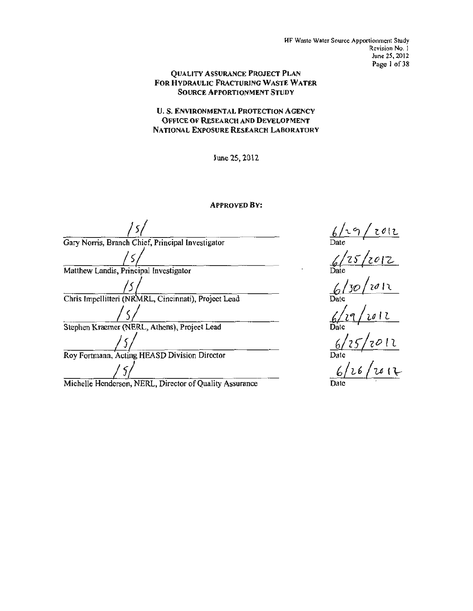HF Waste Water Source Apportionment Study Revision No. I June 25, 2012 Page 1 of 38

#### QUALITY ASSURANCE PROJECT PLAN FOR HYDRAULIC FRACTURING WASTE WATER SOURCE APPORTIONMENT STUDY

U.S. ENVIRONMENTAL PROTECTION AGENCY OFFICE OF RESEARCH AND DEVELOPMENT NATIONAL EXPOSURE RESEARCH LABORATORY

June 25, 2012

APPROVED BY:

*js/*  Gary Norris, Branch Chief, Principal Investigator  $/$   $\zeta$ Matthew Landis, Principal Investigator */5*  Chris Impellitteri (NRMRL, Cincinnati), Project Lead *Is/* Stephen Kraemer (NERL, Athens), Project Lead /S/ Roy Fortmann, Acting HEASD Division Director */5/*

Michelle Henderson, NERL, Director of Quality Assurance

*t/-z:t*/~o I& Date *{J/30* /zd It Date  $6/29/2012$ Date *6/z)/zotl*  Date *'*   $\omega/\sim\gamma\,\omega$  (  $\leftrightarrow$ Date  $\overline{\phantom{a}}$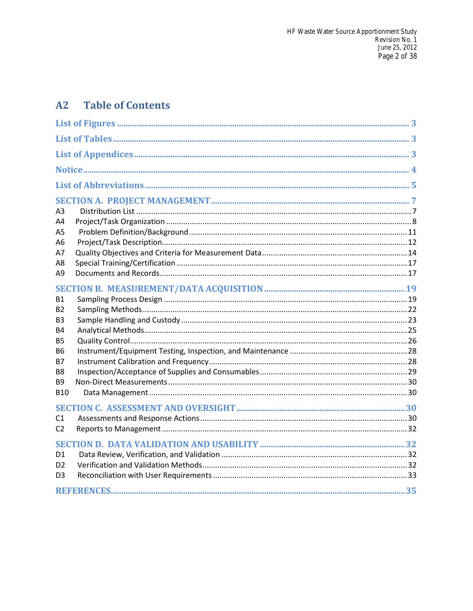#### **Table of Contents**  $A2$

| А3<br>A4       |  |
|----------------|--|
| A5             |  |
| А6<br>Α7       |  |
| A8<br>Α9       |  |
|                |  |
| Β1             |  |
| B2             |  |
| B3<br>Β4       |  |
| <b>B5</b>      |  |
| В6             |  |
| В7             |  |
| Β8             |  |
| Β9             |  |
| <b>B10</b>     |  |
| C1             |  |
| C <sub>2</sub> |  |
| D1<br>D2<br>D3 |  |
|                |  |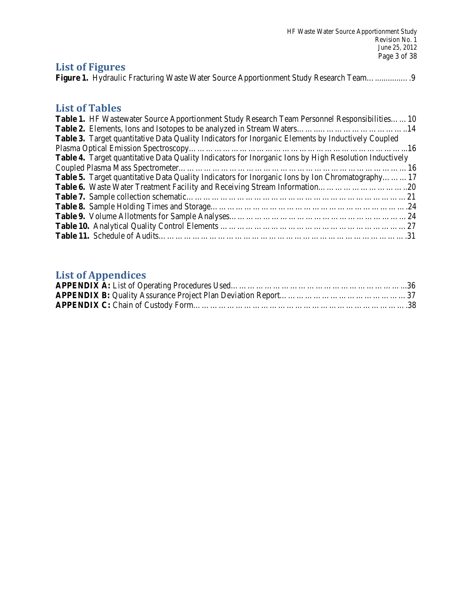| <b>HF Waste Water Source Apportionment Study</b><br>Revision No. 1<br>June 25, 2012 |
|-------------------------------------------------------------------------------------|
| Page 3 of 38<br><b>List of Figures</b>                                              |

## **List of Tables**

| <b>Table 1.</b> HF Wastewater Source Apportionment Study Research Team Personnel Responsibilities10       |  |
|-----------------------------------------------------------------------------------------------------------|--|
|                                                                                                           |  |
| <b>Table 3.</b> Target quantitative Data Quality Indicators for Inorganic Elements by Inductively Coupled |  |
|                                                                                                           |  |
| Table 4. Target quantitative Data Quality Indicators for Inorganic Ions by High Resolution Inductively    |  |
|                                                                                                           |  |
| <b>Table 5.</b> Target quantitative Data Quality Indicators for Inorganic Ions by Ion Chromatography17    |  |
|                                                                                                           |  |
|                                                                                                           |  |
|                                                                                                           |  |
|                                                                                                           |  |
|                                                                                                           |  |
|                                                                                                           |  |

# **List of Appendices**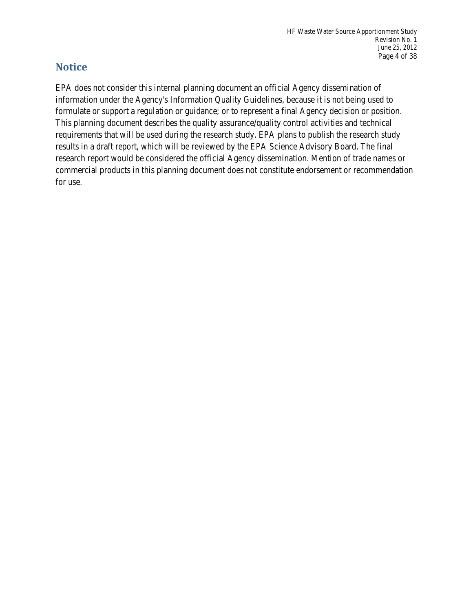## **Notice**

 formulate or support a regulation or guidance; or to represent a final Agency decision or position. EPA does not consider this internal planning document an official Agency dissemination of information under the Agency's Information Quality Guidelines, because it is not being used to This planning document describes the quality assurance/quality control activities and technical requirements that will be used during the research study. EPA plans to publish the research study results in a draft report, which will be reviewed by the EPA Science Advisory Board. The final research report would be considered the official Agency dissemination. Mention of trade names or commercial products in this planning document does not constitute endorsement or recommendation for use.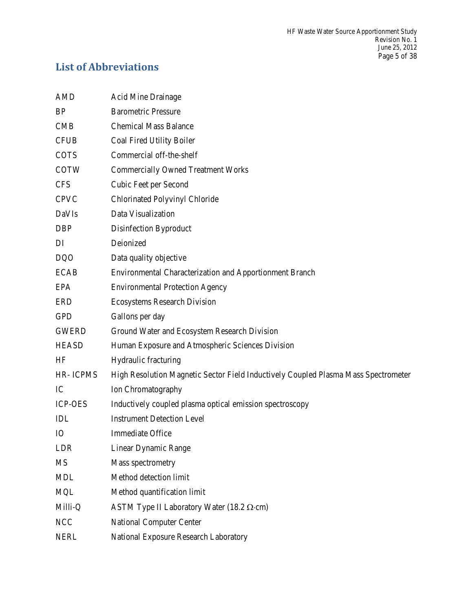# **List of Abbreviations**

| <b>AMD</b>      | <b>Acid Mine Drainage</b>                                                          |  |  |  |
|-----------------|------------------------------------------------------------------------------------|--|--|--|
| BP              | <b>Barometric Pressure</b>                                                         |  |  |  |
| <b>CMB</b>      | <b>Chemical Mass Balance</b>                                                       |  |  |  |
| <b>CFUB</b>     | Coal Fired Utility Boiler                                                          |  |  |  |
| <b>COTS</b>     | Commercial off-the-shelf                                                           |  |  |  |
| <b>COTW</b>     | <b>Commercially Owned Treatment Works</b>                                          |  |  |  |
| <b>CFS</b>      | Cubic Feet per Second                                                              |  |  |  |
| <b>CPVC</b>     | Chlorinated Polyvinyl Chloride                                                     |  |  |  |
| DaVIs           | Data Visualization                                                                 |  |  |  |
| <b>DBP</b>      | Disinfection Byproduct                                                             |  |  |  |
| DI              | Deionized                                                                          |  |  |  |
| <b>DQO</b>      | Data quality objective                                                             |  |  |  |
| <b>ECAB</b>     | Environmental Characterization and Apportionment Branch                            |  |  |  |
| <b>EPA</b>      | <b>Environmental Protection Agency</b>                                             |  |  |  |
| <b>ERD</b>      | <b>Ecosystems Research Division</b>                                                |  |  |  |
| <b>GPD</b>      | Gallons per day                                                                    |  |  |  |
| <b>GWERD</b>    | Ground Water and Ecosystem Research Division                                       |  |  |  |
| <b>HEASD</b>    | Human Exposure and Atmospheric Sciences Division                                   |  |  |  |
| HF              | Hydraulic fracturing                                                               |  |  |  |
| <b>HR-ICPMS</b> | High Resolution Magnetic Sector Field Inductively Coupled Plasma Mass Spectrometer |  |  |  |
| IC              | Ion Chromatography                                                                 |  |  |  |
| <b>ICP-OES</b>  | Inductively coupled plasma optical emission spectroscopy                           |  |  |  |
| IDL             | <b>Instrument Detection Level</b>                                                  |  |  |  |
| IO              | <b>Immediate Office</b>                                                            |  |  |  |
| LDR             | Linear Dynamic Range                                                               |  |  |  |
| <b>MS</b>       | Mass spectrometry                                                                  |  |  |  |
| <b>MDL</b>      | Method detection limit                                                             |  |  |  |
| <b>MQL</b>      | Method quantification limit                                                        |  |  |  |
| Milli-Q         | ASTM Type II Laboratory Water $(18.2 \Omega \cdot cm)$                             |  |  |  |
| <b>NCC</b>      | <b>National Computer Center</b>                                                    |  |  |  |
| <b>NERL</b>     | National Exposure Research Laboratory                                              |  |  |  |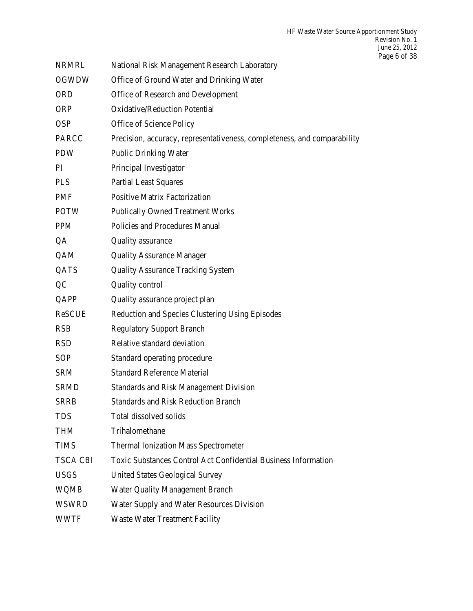| <b>NRMRL</b>    | National Risk Management Research Laboratory                             |  |  |
|-----------------|--------------------------------------------------------------------------|--|--|
| <b>OGWDW</b>    | Office of Ground Water and Drinking Water                                |  |  |
| <b>ORD</b>      | Office of Research and Development                                       |  |  |
| <b>ORP</b>      | <b>Oxidative/Reduction Potential</b>                                     |  |  |
| <b>OSP</b>      | Office of Science Policy                                                 |  |  |
| <b>PARCC</b>    | Precision, accuracy, representativeness, completeness, and comparability |  |  |
| <b>PDW</b>      | <b>Public Drinking Water</b>                                             |  |  |
| PI              | Principal Investigator                                                   |  |  |
| <b>PLS</b>      | <b>Partial Least Squares</b>                                             |  |  |
| PMF             | <b>Positive Matrix Factorization</b>                                     |  |  |
| <b>POTW</b>     | <b>Publically Owned Treatment Works</b>                                  |  |  |
| <b>PPM</b>      | Policies and Procedures Manual                                           |  |  |
| QA              | Quality assurance                                                        |  |  |
| QAM             | <b>Quality Assurance Manager</b>                                         |  |  |
| QATS            | <b>Quality Assurance Tracking System</b>                                 |  |  |
| QC              | Quality control                                                          |  |  |
| QAPP            | Quality assurance project plan                                           |  |  |
| <b>ReSCUE</b>   | Reduction and Species Clustering Using Episodes                          |  |  |
| <b>RSB</b>      | <b>Regulatory Support Branch</b>                                         |  |  |
| <b>RSD</b>      | Relative standard deviation                                              |  |  |
| <b>SOP</b>      | Standard operating procedure                                             |  |  |
| <b>SRM</b>      | <b>Standard Reference Material</b>                                       |  |  |
| <b>SRMD</b>     | <b>Standards and Risk Management Division</b>                            |  |  |
| <b>SRRB</b>     | <b>Standards and Risk Reduction Branch</b>                               |  |  |
| <b>TDS</b>      | Total dissolved solids                                                   |  |  |
| <b>THM</b>      | Trihalomethane                                                           |  |  |
| <b>TIMS</b>     | <b>Thermal Ionization Mass Spectrometer</b>                              |  |  |
| <b>TSCA CBI</b> | <b>Toxic Substances Control Act Confidential Business Information</b>    |  |  |
| <b>USGS</b>     | <b>United States Geological Survey</b>                                   |  |  |
| WQMB            | <b>Water Quality Management Branch</b>                                   |  |  |
| WSWRD           | Water Supply and Water Resources Division                                |  |  |
| WWTF            | <b>Waste Water Treatment Facility</b>                                    |  |  |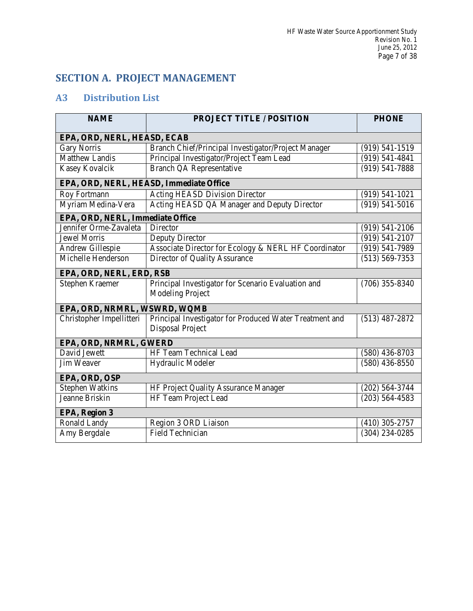## **SECTION A. PROJECT MANAGEMENT**

## **A3 Distribution List**

| <b>NAME</b>                                                                                      | <b>PROJECT TITLE / POSITION</b>                                             | <b>PHONE</b>       |  |  |  |
|--------------------------------------------------------------------------------------------------|-----------------------------------------------------------------------------|--------------------|--|--|--|
| EPA, ORD, NERL, HEASD, ECAB                                                                      |                                                                             |                    |  |  |  |
| <b>Gary Norris</b>                                                                               | Branch Chief/Principal Investigator/Project Manager                         | $(919) 541 - 1519$ |  |  |  |
| <b>Matthew Landis</b>                                                                            | Principal Investigator/Project Team Lead                                    | $(919) 541 - 4841$ |  |  |  |
| Kasey Kovalcik                                                                                   | <b>Branch QA Representative</b>                                             | $(919) 541 - 7888$ |  |  |  |
| EPA, ORD, NERL, HEASD, Immediate Office                                                          |                                                                             |                    |  |  |  |
| <b>Roy Fortmann</b>                                                                              | <b>Acting HEASD Division Director</b>                                       | $(919) 541 - 1021$ |  |  |  |
| Myriam Medina-Vera                                                                               | Acting HEASD QA Manager and Deputy Director                                 | $(919) 541 - 5016$ |  |  |  |
| EPA, ORD, NERL, Immediate Office                                                                 |                                                                             |                    |  |  |  |
| Jennifer Orme-Zavaleta                                                                           | Director                                                                    | $(919) 541 - 2106$ |  |  |  |
| <b>Jewel Morris</b>                                                                              | Deputy Director                                                             | $(919) 541 - 2107$ |  |  |  |
| Andrew Gillespie                                                                                 | Associate Director for Ecology & NERL HF Coordinator                        | $(919) 541 - 7989$ |  |  |  |
| Michelle Henderson<br>Director of Quality Assurance<br>$(513) 569 - 7353$                        |                                                                             |                    |  |  |  |
| EPA, ORD, NERL, ERD, RSB                                                                         |                                                                             |                    |  |  |  |
| Stephen Kraemer<br>Principal Investigator for Scenario Evaluation and<br><b>Modeling Project</b> |                                                                             | $(706)$ 355-8340   |  |  |  |
| EPA, ORD, NRMRL, WSWRD, WQMB                                                                     |                                                                             |                    |  |  |  |
| Christopher Impellitteri                                                                         | Principal Investigator for Produced Water Treatment and<br>Disposal Project | $(513)$ 487-2872   |  |  |  |
| EPA, ORD, NRMRL, GWERD                                                                           |                                                                             |                    |  |  |  |
| David Jewett                                                                                     | HF Team Technical Lead                                                      | $(580)$ 436-8703   |  |  |  |
| <b>Jim Weaver</b>                                                                                | Hydraulic Modeler<br>$(580)$ 436-8550                                       |                    |  |  |  |
| EPA, ORD, OSP                                                                                    |                                                                             |                    |  |  |  |
| <b>Stephen Watkins</b>                                                                           | HF Project Quality Assurance Manager<br>$(202)$ 564-3744                    |                    |  |  |  |
| Jeanne Briskin<br>HF Team Project Lead                                                           |                                                                             | $(203)$ 564-4583   |  |  |  |
| EPA, Region 3                                                                                    |                                                                             |                    |  |  |  |
| Ronald Landy<br>Region 3 ORD Liaison<br>$(410)$ 305-2757                                         |                                                                             |                    |  |  |  |
| Amy Bergdale<br><b>Field Technician</b><br>$(304)$ 234-0285                                      |                                                                             |                    |  |  |  |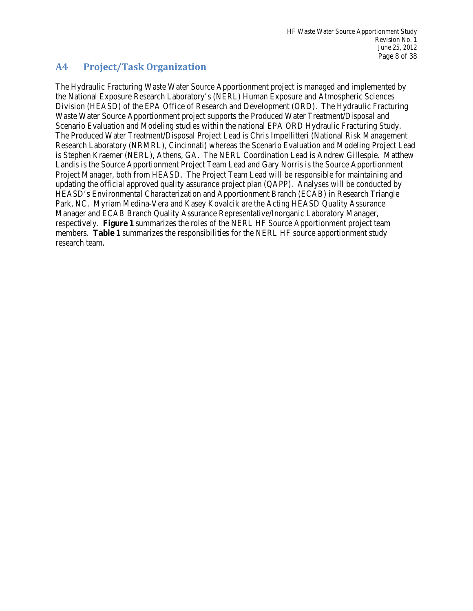### **A4 Project/Task Organization**

 The Hydraulic Fracturing Waste Water Source Apportionment project is managed and implemented by Scenario Evaluation and Modeling studies within the national EPA ORD Hydraulic Fracturing Study. is Stephen Kraemer (NERL), Athens, GA. The NERL Coordination Lead is Andrew Gillespie. Matthew Landis is the Source Apportionment Project Team Lead and Gary Norris is the Source Apportionment Park, NC. Myriam Medina-Vera and Kasey Kovalcik are the Acting HEASD Quality Assurance respectively. **Figure 1** summarizes the roles of the NERL HF Source Apportionment project team members. **Table 1** summarizes the responsibilities for the NERL HF source apportionment study the National Exposure Research Laboratory's (NERL) Human Exposure and Atmospheric Sciences Division (HEASD) of the EPA Office of Research and Development (ORD). The Hydraulic Fracturing Waste Water Source Apportionment project supports the Produced Water Treatment/Disposal and The Produced Water Treatment/Disposal Project Lead is Chris Impellitteri (National Risk Management Research Laboratory (NRMRL), Cincinnati) whereas the Scenario Evaluation and Modeling Project Lead Project Manager, both from HEASD. The Project Team Lead will be responsible for maintaining and updating the official approved quality assurance project plan (QAPP). Analyses will be conducted by HEASD's Environmental Characterization and Apportionment Branch (ECAB) in Research Triangle Manager and ECAB Branch Quality Assurance Representative/Inorganic Laboratory Manager, research team.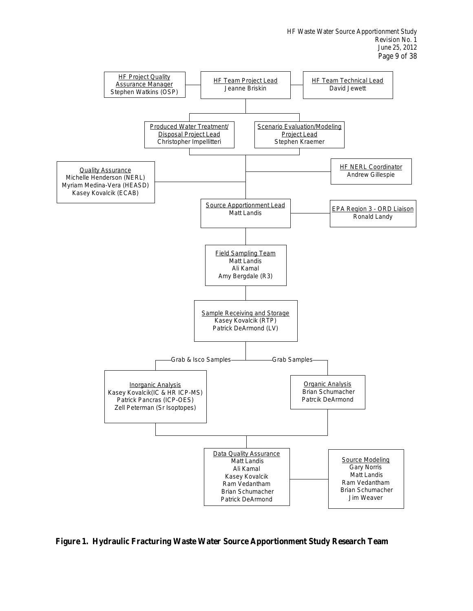

 **Figure 1. Hydraulic Fracturing Waste Water Source Apportionment Study Research Team**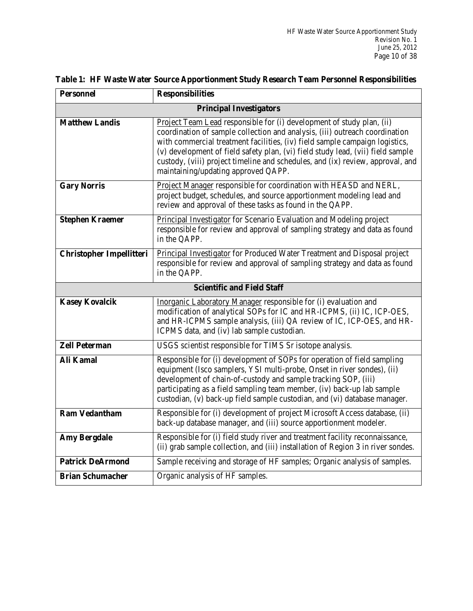| <b>Personnel</b>                | <b>Responsibilities</b>                                                                                                                                                                                                                                                                                                                                                                                                                         |  |  |  |  |
|---------------------------------|-------------------------------------------------------------------------------------------------------------------------------------------------------------------------------------------------------------------------------------------------------------------------------------------------------------------------------------------------------------------------------------------------------------------------------------------------|--|--|--|--|
| <b>Principal Investigators</b>  |                                                                                                                                                                                                                                                                                                                                                                                                                                                 |  |  |  |  |
| <b>Matthew Landis</b>           | Project Team Lead responsible for (i) development of study plan, (ii)<br>coordination of sample collection and analysis, (iii) outreach coordination<br>with commercial treatment facilities, (iv) field sample campaign logistics,<br>(v) development of field safety plan, (vi) field study lead, (vii) field sample<br>custody, (viii) project timeline and schedules, and (ix) review, approval, and<br>maintaining/updating approved QAPP. |  |  |  |  |
| <b>Gary Norris</b>              | Project Manager responsible for coordination with HEASD and NERL,<br>project budget, schedules, and source apportionment modeling lead and<br>review and approval of these tasks as found in the QAPP.                                                                                                                                                                                                                                          |  |  |  |  |
| <b>Stephen Kraemer</b>          | Principal Investigator for Scenario Evaluation and Modeling project<br>responsible for review and approval of sampling strategy and data as found<br>in the QAPP.                                                                                                                                                                                                                                                                               |  |  |  |  |
| <b>Christopher Impellitteri</b> | Principal Investigator for Produced Water Treatment and Disposal project<br>responsible for review and approval of sampling strategy and data as found<br>in the QAPP.                                                                                                                                                                                                                                                                          |  |  |  |  |
|                                 | <b>Scientific and Field Staff</b>                                                                                                                                                                                                                                                                                                                                                                                                               |  |  |  |  |
| <b>Kasey Kovalcik</b>           | Inorganic Laboratory Manager responsible for (i) evaluation and<br>modification of analytical SOPs for IC and HR-ICPMS, (ii) IC, ICP-OES,<br>and HR-ICPMS sample analysis, (iii) QA review of IC, ICP-OES, and HR-<br>ICPMS data, and (iv) lab sample custodian.                                                                                                                                                                                |  |  |  |  |
| <b>Zell Peterman</b>            | USGS scientist responsible for TIMS Sr isotope analysis.                                                                                                                                                                                                                                                                                                                                                                                        |  |  |  |  |
| <b>Ali Kamal</b>                | Responsible for (i) development of SOPs for operation of field sampling<br>equipment (Isco samplers, YSI multi-probe, Onset in river sondes), (ii)<br>development of chain-of-custody and sample tracking SOP, (iii)<br>participating as a field sampling team member, (iv) back-up lab sample<br>custodian, (v) back-up field sample custodian, and (vi) database manager.                                                                     |  |  |  |  |
| <b>Ram Vedantham</b>            | Responsible for (i) development of project Microsoft Access database, (ii)<br>back-up database manager, and (iii) source apportionment modeler.                                                                                                                                                                                                                                                                                                 |  |  |  |  |
| <b>Amy Bergdale</b>             | Responsible for (i) field study river and treatment facility reconnaissance,<br>(ii) grab sample collection, and (iii) installation of Region 3 in river sondes.                                                                                                                                                                                                                                                                                |  |  |  |  |
| <b>Patrick DeArmond</b>         | Sample receiving and storage of HF samples; Organic analysis of samples.                                                                                                                                                                                                                                                                                                                                                                        |  |  |  |  |
| <b>Brian Schumacher</b>         | Organic analysis of HF samples.                                                                                                                                                                                                                                                                                                                                                                                                                 |  |  |  |  |

### **Table 1: HF Waste Water Source Apportionment Study Research Team Personnel Responsibilities**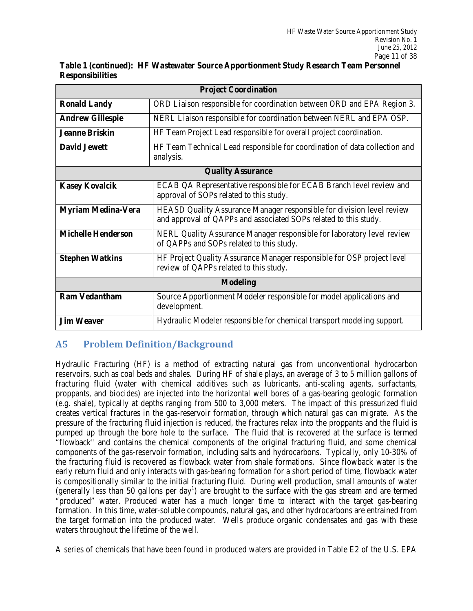| <b>Project Coordination</b>                                                                                                                     |                                                                                                                                           |  |  |  |
|-------------------------------------------------------------------------------------------------------------------------------------------------|-------------------------------------------------------------------------------------------------------------------------------------------|--|--|--|
| ORD Liaison responsible for coordination between ORD and EPA Region 3.<br><b>Ronald Landy</b>                                                   |                                                                                                                                           |  |  |  |
| <b>Andrew Gillespie</b>                                                                                                                         | NERL Liaison responsible for coordination between NERL and EPA OSP.                                                                       |  |  |  |
| <b>Jeanne Briskin</b>                                                                                                                           | HF Team Project Lead responsible for overall project coordination.                                                                        |  |  |  |
| <b>David Jewett</b>                                                                                                                             | HF Team Technical Lead responsible for coordination of data collection and<br>analysis.                                                   |  |  |  |
|                                                                                                                                                 | <b>Quality Assurance</b>                                                                                                                  |  |  |  |
| <b>Kasey Kovalcik</b>                                                                                                                           | ECAB QA Representative responsible for ECAB Branch level review and<br>approval of SOPs related to this study.                            |  |  |  |
| <b>Myriam Medina-Vera</b>                                                                                                                       | HEASD Quality Assurance Manager responsible for division level review<br>and approval of QAPPs and associated SOPs related to this study. |  |  |  |
| <b>Michelle Henderson</b><br>NERL Quality Assurance Manager responsible for laboratory level review<br>of QAPPs and SOPs related to this study. |                                                                                                                                           |  |  |  |
| <b>Stephen Watkins</b>                                                                                                                          | HF Project Quality Assurance Manager responsible for OSP project level<br>review of QAPPs related to this study.                          |  |  |  |
| <b>Modeling</b>                                                                                                                                 |                                                                                                                                           |  |  |  |
| <b>Ram Vedantham</b>                                                                                                                            | Source Apportionment Modeler responsible for model applications and<br>development.                                                       |  |  |  |
| <b>Jim Weaver</b><br>Hydraulic Modeler responsible for chemical transport modeling support.                                                     |                                                                                                                                           |  |  |  |

**Table 1 (continued): HF Wastewater Source Apportionment Study Research Team Personnel Responsibilities** 

### **A5 Problem Definition/Background**

 reservoirs, such as coal beds and shales. During HF of shale plays, an average of 3 to 5 million gallons of proppants, and biocides) are injected into the horizontal well bores of a gas-bearing geologic formation (e.g. shale), typically at depths ranging from 500 to 3,000 meters. The impact of this pressurized fluid pressure of the fracturing fluid injection is reduced, the fractures relax into the proppants and the fluid is the fracturing fluid is recovered as flowback water from shale formations. Since flowback water is the is compositionally similar to the initial fracturing fluid. During well production, small amounts of water "produced" water. Produced water has a much longer time to interact with the target gas-bearing the target formation into the produced water. Wells produce organic condensates and gas with these Hydraulic Fracturing (HF) is a method of extracting natural gas from unconventional hydrocarbon fracturing fluid (water with chemical additives such as lubricants, anti-scaling agents, surfactants, creates vertical fractures in the gas-reservoir formation, through which natural gas can migrate. As the pumped up through the bore hole to the surface. The fluid that is recovered at the surface is termed "flowback" and contains the chemical components of the original fracturing fluid, and some chemical components of the gas-reservoir formation, including salts and hydrocarbons. Typically, only 10-30% of early return fluid and only interacts with gas-bearing formation for a short period of time, flowback water (generally less than 50 gallons per day<sup>1</sup>) are brought to the surface with the gas stream and are termed formation. In this time, water-soluble compounds, natural gas, and other hydrocarbons are entrained from waters throughout the lifetime of the well.

A series of chemicals that have been found in produced waters are provided in Table E2 of the U.S. EPA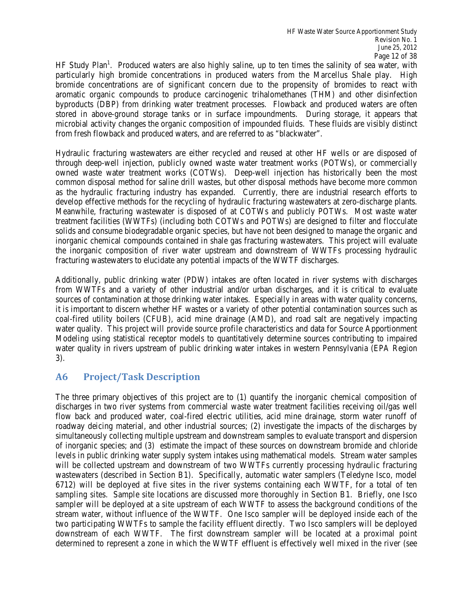byproducts (DBP) from drinking water treatment processes. Flowback and produced waters are often microbial activity changes the organic composition of impounded fluids. These fluids are visibly distinct HF Study Plan<sup>1</sup>. Produced waters are also highly saline, up to ten times the salinity of sea water, with particularly high bromide concentrations in produced waters from the Marcellus Shale play. High bromide concentrations are of significant concern due to the propensity of bromides to react with aromatic organic compounds to produce carcinogenic trihalomethanes (THM) and other disinfection stored in above-ground storage tanks or in surface impoundments. During storage, it appears that from fresh flowback and produced waters, and are referred to as "blackwater".

 owned waste water treatment works (COTWs). Deep-well injection has historically been the most common disposal method for saline drill wastes, but other disposal methods have become more common develop effective methods for the recycling of hydraulic fracturing wastewaters at zero-discharge plants. inorganic chemical compounds contained in shale gas fracturing wastewaters. This project will evaluate the inorganic composition of river water upstream and downstream of WWTFs processing hydraulic fracturing wastewaters to elucidate any potential impacts of the WWTF discharges. Hydraulic fracturing wastewaters are either recycled and reused at other HF wells or are disposed of through deep-well injection, publicly owned waste water treatment works (POTWs), or commercially as the hydraulic fracturing industry has expanded. Currently, there are industrial research efforts to Meanwhile, fracturing wastewater is disposed of at COTWs and publicly POTWs. Most waste water treatment facilities (WWTFs) (including both COTWs and POTWs) are designed to filter and flocculate solids and consume biodegradable organic species, but have not been designed to manage the organic and

 Additionally, public drinking water (PDW) intakes are often located in river systems with discharges sources of contamination at those drinking water intakes. Especially in areas with water quality concerns, it is important to discern whether HF wastes or a variety of other potential contamination sources such as coal-fired utility boilers (CFUB), acid mine drainage (AMD), and road salt are negatively impacting Modeling using statistical receptor models to quantitatively determine sources contributing to impaired from WWTFs and a variety of other industrial and/or urban discharges, and it is critical to evaluate water quality. This project will provide source profile characteristics and data for Source Apportionment water quality in rivers upstream of public drinking water intakes in western Pennsylvania (EPA Region 3).

## **A6 Project/Task Description**

 discharges in two river systems from commercial waste water treatment facilities receiving oil/gas well flow back and produced water, coal-fired electric utilities, acid mine drainage, storm water runoff of roadway deicing material, and other industrial sources; (2) investigate the impacts of the discharges by of inorganic species; and (3) estimate the impact of these sources on downstream bromide and chloride levels in public drinking water supply system intakes using mathematical models. Stream water samples will be collected upstream and downstream of two WWTFs currently processing hydraulic fracturing 6712) will be deployed at five sites in the river systems containing each WWTF, for a total of ten sampler will be deployed at a site upstream of each WWTF to assess the background conditions of the stream water, without influence of the WWTF. One Isco sampler will be deployed inside each of the two participating WWTFs to sample the facility effluent directly. Two Isco samplers will be deployed determined to represent a zone in which the WWTF effluent is effectively well mixed in the river (see The three primary objectives of this project are to (1) quantify the inorganic chemical composition of simultaneously collecting multiple upstream and downstream samples to evaluate transport and dispersion wastewaters (described in Section B1). Specifically, automatic water samplers (Teledyne Isco, model sampling sites. Sample site locations are discussed more thoroughly in Section B1. Briefly, one Isco downstream of each WWTF. The first downstream sampler will be located at a proximal point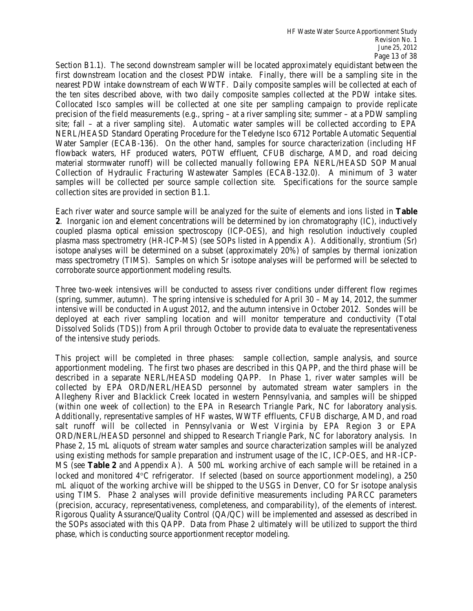Section B1.1). The second downstream sampler will be located approximately equidistant between the first downstream location and the closest PDW intake. Finally, there will be a sampling site in the Collocated Isco samples will be collected at one site per sampling campaign to provide replicate precision of the field measurements (e.g., spring – at a river sampling site; summer – at a PDW sampling site; fall – at a river sampling site). Automatic water samples will be collected according to EPA NERL/HEASD Standard Operating Procedure for the Teledyne Isco 6712 Portable Automatic Sequential Collection of Hydraulic Fracturing Wastewater Samples (ECAB-132.0). A minimum of 3 water nearest PDW intake downstream of each WWTF. Daily composite samples will be collected at each of the ten sites described above, with two daily composite samples collected at the PDW intake sites. Water Sampler (ECAB-136). On the other hand, samples for source characterization (including HF flowback waters, HF produced waters, POTW effluent, CFUB discharge, AMD, and road deicing material stormwater runoff) will be collected manually following EPA NERL/HEASD SOP Manual samples will be collected per source sample collection site. Specifications for the source sample collection sites are provided in section B1.1.

 Each river water and source sample will be analyzed for the suite of elements and ions listed in **Table 2**. Inorganic ion and element concentrations will be determined by ion chromatography (IC), inductively coupled plasma optical emission spectroscopy (ICP-OES), and high resolution inductively coupled mass spectrometry (TIMS). Samples on which Sr isotope analyses will be performed will be selected to plasma mass spectrometry (HR-ICP-MS) (see SOPs listed in Appendix A). Additionally, strontium (Sr) isotope analyses will be determined on a subset (approximately 20%) of samples by thermal ionization corroborate source apportionment modeling results.

 Three two-week intensives will be conducted to assess river conditions under different flow regimes (spring, summer, autumn). The spring intensive is scheduled for April 30 – May 14, 2012, the summer intensive will be conducted in August 2012, and the autumn intensive in October 2012. Sondes will be deployed at each river sampling location and will monitor temperature and conductivity (Total Dissolved Solids (TDS)) from April through October to provide data to evaluate the representativeness of the intensive study periods.

 This project will be completed in three phases: sample collection, sample analysis, and source apportionment modeling. The first two phases are described in this QAPP, and the third phase will be described in a separate NERL/HEASD modeling QAPP. In Phase 1, river water samples will be Allegheny River and Blacklick Creek located in western Pennsylvania, and samples will be shipped (within one week of collection) to the EPA in Research Triangle Park, NC for laboratory analysis. Additionally, representative samples of HF wastes, WWTF effluents, CFUB discharge, AMD, and road salt runoff will be collected in Pennsylvania or West Virginia by EPA Region 3 or EPA ORD/NERL/HEASD personnel and shipped to Research Triangle Park, NC for laboratory analysis. In Phase 2, 15 mL aliquots of stream water samples and source characterization samples will be analyzed using existing methods for sample preparation and instrument usage of the IC, ICP-OES, and HR-ICP- locked and monitored 4°C refrigerator. If selected (based on source apportionment modeling), a 250 mL aliquot of the working archive will be shipped to the USGS in Denver, CO for Sr isotope analysis using TIMS. Phase 2 analyses will provide definitive measurements including PARCC parameters (precision, accuracy, representativeness, completeness, and comparability), of the elements of interest. Rigorous Quality Assurance/Quality Control (QA/QC) will be implemented and assessed as described in collected by EPA ORD/NERL/HEASD personnel by automated stream water samplers in the MS (see **Table 2** and Appendix A). A 500 mL working archive of each sample will be retained in a the SOPs associated with this QAPP. Data from Phase 2 ultimately will be utilized to support the third phase, which is conducting source apportionment receptor modeling.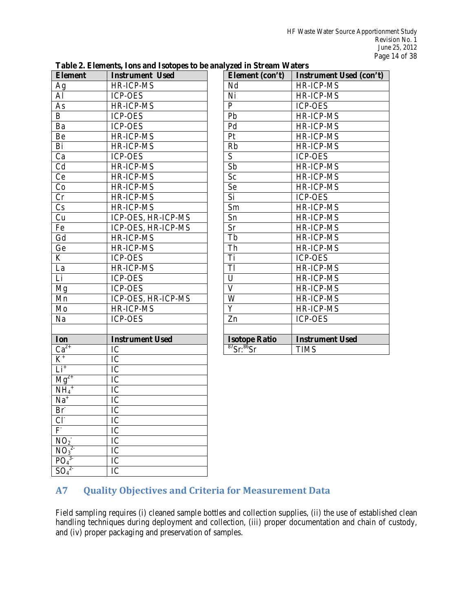| <b>Element</b>             | <b>Instrument Used</b> |  |  |  |
|----------------------------|------------------------|--|--|--|
| Ag                         | HR-ICP-MS              |  |  |  |
| Al                         | <b>ICP-OES</b>         |  |  |  |
| As                         | HR-ICP-MS              |  |  |  |
| B                          | <b>ICP-OES</b>         |  |  |  |
| Ba                         | <b>ICP-OES</b>         |  |  |  |
| Be                         | <b>HR-ICP-MS</b>       |  |  |  |
| Bi                         | HR-ICP-MS              |  |  |  |
| Ca                         | <b>ICP-OES</b>         |  |  |  |
| Cd                         | <b>HR-ICP-MS</b>       |  |  |  |
| Ce                         | HR-ICP-MS              |  |  |  |
| Co                         | HR-ICP-MS              |  |  |  |
| Cr                         | HR-ICP-MS              |  |  |  |
| Cs                         | HR-ICP-MS              |  |  |  |
| Cu                         | ICP-OES, HR-ICP-MS     |  |  |  |
| Fe                         | ICP-OES, HR-ICP-MS     |  |  |  |
| Gd                         | HR-ICP-MS              |  |  |  |
| Ge                         | <b>HR-ICP-MS</b>       |  |  |  |
| K                          | <b>ICP-OES</b>         |  |  |  |
| La                         | HR-ICP-MS              |  |  |  |
| Li                         | <b>ICP-OES</b>         |  |  |  |
| Mg                         | <b>ICP-OES</b>         |  |  |  |
| Mn                         | ICP-OES, HR-ICP-MS     |  |  |  |
| Mo                         | HR-ICP-MS              |  |  |  |
| Na                         | <b>ICP-OES</b>         |  |  |  |
|                            |                        |  |  |  |
| Ion                        | <b>Instrument Used</b> |  |  |  |
| $Ca^{2+}$                  | IC                     |  |  |  |
| $\overline{\text{K}^{+}}$  | IC                     |  |  |  |
| $Li+$                      | IC                     |  |  |  |
| $\text{Mg}^{2+}$           | IC                     |  |  |  |
| $NH_4$ <sup>+</sup>        | IC                     |  |  |  |
| $\overline{Na}^+$          | IC                     |  |  |  |
| $Br-$                      | IC                     |  |  |  |
| Cl <sub>1</sub>            | $\overline{IC}$        |  |  |  |
| F                          | $\overline{\text{IC}}$ |  |  |  |
| $NO_2$                     | $\overline{\text{IC}}$ |  |  |  |
| NO <sub>3</sub>            | IC                     |  |  |  |
| $\overline{P\overline{O}}$ | $\overline{\text{IC}}$ |  |  |  |
| $SO_4$                     | IC                     |  |  |  |

| Table 2. Elements, Ions and Isotopes to be analyzed in Stream Waters |  |  |  |
|----------------------------------------------------------------------|--|--|--|
|                                                                      |  |  |  |

| Element (con't)                                  | <b>Instrument Used (con't)</b> |
|--------------------------------------------------|--------------------------------|
| Nd                                               | HR-ICP-MS                      |
| Ni                                               | <b>HR-ICP-MS</b>               |
| $\mathbf{P}$                                     | <b>ICP-OES</b>                 |
| Pb                                               | <b>HR-ICP-MS</b>               |
| Pd                                               | <b>HR-ICP-MS</b>               |
| Pt                                               | HR-ICP-MS                      |
| Rb                                               | <b>HR-ICP-MS</b>               |
| S                                                | <b>ICP-OES</b>                 |
| Sb                                               | <b>HR-ICP-MS</b>               |
| Sc                                               | <b>HR-ICP-MS</b>               |
| <b>Se</b>                                        | <b>HR-ICP-MS</b>               |
| Si                                               | <b>ICP-OES</b>                 |
| Sm                                               | HR-ICP-MS                      |
| Sn                                               | <b>HR-ICP-MS</b>               |
| <b>Sr</b>                                        | <b>HR-ICP-MS</b>               |
| Tb                                               | HR-ICP-MS                      |
| Th                                               | <b>HR-ICP-MS</b>               |
| Ti                                               | <b>ICP-OES</b>                 |
| T1                                               | HR-ICP-MS                      |
| U                                                | <b>HR-ICP-MS</b>               |
| $\mathbf{V}$                                     | HR-ICP-MS                      |
| W                                                | HR-ICP-MS                      |
| Y                                                | HR-ICP-MS                      |
| Zn                                               | <b>ICP-OES</b>                 |
|                                                  |                                |
| <b>Isotope Ratio</b>                             | <b>Instrument Used</b>         |
| $\overline{{}^{87}\mathrm{Sr:}}^{86}\mathrm{Sr}$ | <b>TIMS</b>                    |

## **A7 Quality Objectives and Criteria for Measurement Data**

 Field sampling requires (i) cleaned sample bottles and collection supplies, (ii) the use of established clean handling techniques during deployment and collection, (iii) proper documentation and chain of custody, and (iv) proper packaging and preservation of samples.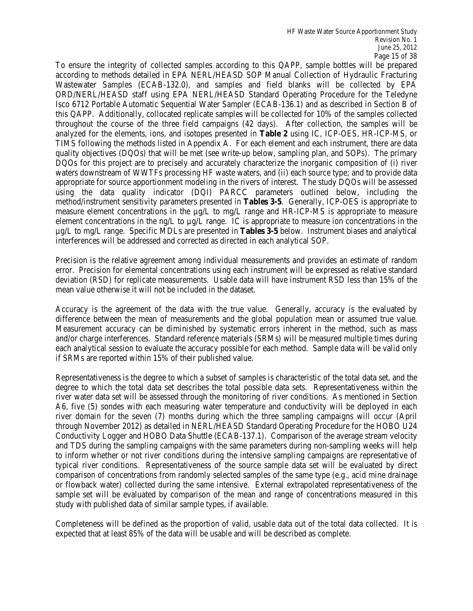To ensure the integrity of collected samples according to this QAPP, sample bottles will be prepared Wastewater Samples (ECAB-132.0), and samples and field blanks will be collected by EPA ORD/NERL/HEASD staff using EPA NERL/HEASD Standard Operating Procedure for the Teledyne this QAPP. Additionally, collocated replicate samples will be collected for 10% of the samples collected throughout the course of the three field campaigns (42 days). After collection, the samples will be quality objectives (DQOs) that will be met (see write-up below, sampling plan, and SOPs). The primary waters downstream of WWTFs processing HF waste waters, and (ii) each source type; and to provide data appropriate for source apportionment modeling in the rivers of interest. The study DQOs will be assessed using the data quality indicator (DQI) PARCC parameters outlined below, including the method/instrument sensitivity parameters presented in **Tables 3-5**. Generally, ICP-OES is appropriate to element concentrations in the ng/L to µg/L range. IC is appropriate to measure ion concentrations in the µg/L to mg/L range. Specific MDLs are presented in **Tables 3-5** below. Instrument biases and analytical according to methods detailed in EPA NERL/HEASD SOP Manual Collection of Hydraulic Fracturing Isco 6712 Portable Automatic Sequential Water Sampler (ECAB-136.1) and as described in Section B of analyzed for the elements, ions, and isotopes presented in **Table 2** using IC, ICP-OES, HR-ICP-MS, or TIMS following the methods listed in Appendix A. For each element and each instrument, there are data DQOs for this project are to precisely and accurately characterize the inorganic composition of (i) river measure element concentrations in the  $\mu$ g/L to mg/L range and HR-ICP-MS is appropriate to measure interferences will be addressed and corrected as directed in each analytical SOP.

 mean value otherwise it will not be included in the dataset. Precision is the relative agreement among individual measurements and provides an estimate of random error. Precision for elemental concentrations using each instrument will be expressed as relative standard deviation (RSD) for replicate measurements. Usable data will have instrument RSD less than 15% of the

difference between the mean of measurements and the global population mean or assumed true value. each analytical session to evaluate the accuracy possible for each method. Sample data will be valid only if SRMs are reported within 15% of their published value. Accuracy is the agreement of the data with the true value. Generally, accuracy is the evaluated by Measurement accuracy can be diminished by systematic errors inherent in the method, such as mass and/or charge interferences. Standard reference materials (SRMs) will be measured multiple times during

 Representativeness is the degree to which a subset of samples is characteristic of the total data set, and the degree to which the total data set describes the total possible data sets. Representativeness within the river water data set will be assessed through the monitoring of river conditions. As mentioned in Section A6, five (5) sondes with each measuring water temperature and conductivity will be deployed in each and TDS during the sampling campaigns with the same parameters during non-sampling weeks will help sample set will be evaluated by comparison of the mean and range of concentrations measured in this river domain for the seven (7) months during which the three sampling campaigns will occur (April through November 2012) as detailed in NERL/HEASD Standard Operating Procedure for the HOBO U24 Conductivity Logger and HOBO Data Shuttle (ECAB-137.1). Comparison of the average stream velocity to inform whether or not river conditions during the intensive sampling campaigns are representative of typical river conditions. Representativeness of the source sample data set will be evaluated by direct comparison of concentrations from randomly selected samples of the same type (e.g., acid mine drainage or flowback water) collected during the same intensive. External extrapolated representativeness of the study with published data of similar sample types, if available.

 Completeness will be defined as the proportion of valid, usable data out of the total data collected. It is expected that at least 85% of the data will be usable and will be described as complete.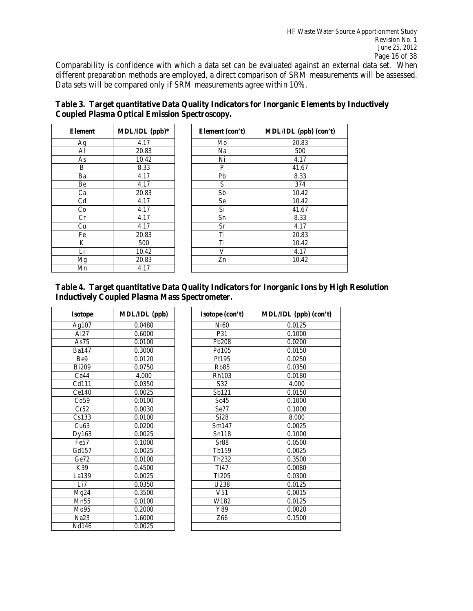Comparability is confidence with which a data set can be evaluated against an external data set. When different preparation methods are employed, a direct comparison of SRM measurements will be assessed. Data sets will be compared only if SRM measurements agree within 10%.

| <b>Element</b> | MDL/IDL (ppb)* |
|----------------|----------------|
| Ag             | 4.17           |
| Al             | 20.83          |
| As             | 10.42          |
| B              | 8.33           |
| Ba             | 4.17           |
| Be             | 4.17           |
| Ca             | 20.83          |
| Cd             | 4.17           |
| Co             | 4.17           |
| Cr             | 4.17           |
| Cu             | 4.17           |
| Fe             | 20.83          |
| K              | 500            |
| Li             | 10.42          |
| Mg             | 20.83          |
| Mn             | 4.17           |

|                                                      | Table 3. Target quantitative Data Quality Indicators for Inorganic Elements by Inductively |
|------------------------------------------------------|--------------------------------------------------------------------------------------------|
| <b>Coupled Plasma Optical Emission Spectroscopy.</b> |                                                                                            |

 $\overline{\phantom{0}}$ 

| Element (con't) | MDL/IDL (ppb) (con't) |
|-----------------|-----------------------|
| Mo              | 20.83                 |
| Na              | 500                   |
| Ni              | 4.17                  |
| P               | 41.67                 |
| Pb              | 8.33                  |
| S               | 374                   |
| Sb              | 10.42                 |
| Se              | 10.42                 |
| Si              | 41.67                 |
| Sn              | 8.33                  |
| Sr              | 4.17                  |
| Ti              | 20.83                 |
| Tl              | 10.42                 |
| V               | 4.17                  |
| Zn              | 10.42                 |
|                 |                       |

 **Table 4. Target quantitative Data Quality Indicators for Inorganic Ions by High Resolution Inductively Coupled Plasma Mass Spectrometer.** 

 $\mathsf{r}$ 

| Isotope      | MDL/IDL (ppb) |
|--------------|---------------|
| Ag107        | 0.0480        |
| Al27         | 0.6000        |
| As75         | 0.0100        |
| <b>Ba147</b> | 0.3000        |
| Be9          | 0.0120        |
| <b>Bi209</b> | 0.0750        |
| Ca44         | 4.000         |
| Cd111        | 0.0350        |
| Ce140        | 0.0025        |
| Co59         | 0.0100        |
| Cr52         | 0.0030        |
| Cs133        | 0.0100        |
| Cu63         | 0.0200        |
| Dy163        | 0.0025        |
| Fe57         | 0.1000        |
| Gd157        | 0.0025        |
| Ge72         | 0.0100        |
| K39          | 0.4500        |
| La139        | 0.0025        |
| Li7          | 0.0350        |
| Mg24         | 0.3500        |
| Mn55         | 0.0100        |
| Mo95         | 0.2000        |
| Na23         | 1.6000        |
| Nd146        | 0.0025        |

| <b>Isotope</b>   | <b>MDL/IDL</b> (ppb) | Isotope (con't)   | MDL/IDL (ppb) (con't) |
|------------------|----------------------|-------------------|-----------------------|
| Ag107            | 0.0480               | Ni60              | 0.0125                |
| A <sub>127</sub> | 0.6000               | P31               | 0.1000                |
| As75             | 0.0100               | Pb208             | 0.0200                |
| Ba147            | 0.3000               | Pd105             | 0.0150                |
| Be9              | 0.0120               | Pt195             | 0.0250                |
| <b>Bi209</b>     | 0.0750               | <b>Rb85</b>       | 0.0350                |
| Ca44             | 4.000                | Rh103             | 0.0180                |
| Cd111            | 0.0350               | S32               | 4.000                 |
| Ce140            | 0.0025               | Sb121             | 0.0150                |
| Co59             | 0.0100               | Sc45              | 0.1000                |
| Cr52             | 0.0030               | Se77              | 0.1000                |
| Cs133            | 0.0100               | Si28              | 8.000                 |
| Cu63             | 0.0200               | Sm147             | 0.0025                |
| Dy163            | 0.0025               | Sn118             | 0.1000                |
| Fe <sub>57</sub> | 0.1000               | Sr88              | 0.0500                |
| Gd157            | 0.0025               | Tb159             | 0.0025                |
| Ge72             | 0.0100               | Th <sub>232</sub> | 0.3500                |
| K39              | 0.4500               | T <sub>i47</sub>  | 0.0080                |
| La139            | 0.0025               | T <sub>1205</sub> | 0.0300                |
| Li7              | 0.0350               | U238              | 0.0125                |
| Mg24             | 0.3500               | V51               | 0.0015                |
| Mn55             | 0.0100               | W182              | 0.0125                |
| Mo95             | 0.2000               | Y89               | 0.0020                |
| Na <sub>23</sub> | 1.6000               | Z66               | 0.1500                |
| Nd146            | 0.0025               |                   |                       |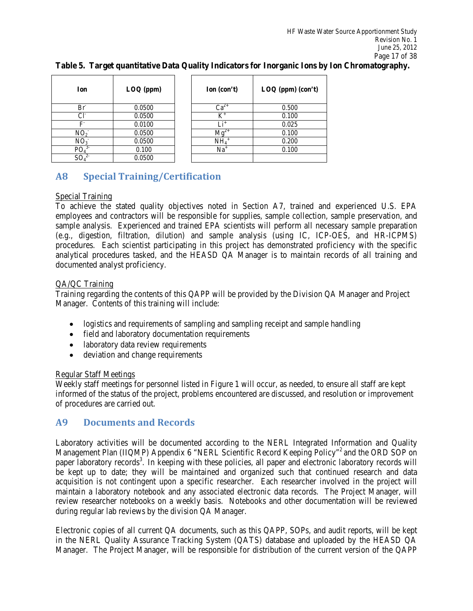| Ion             | $LOQ$ (ppm) | Ion (con't)        | $\text{LOQ (ppm) (con't)}$ |
|-----------------|-------------|--------------------|----------------------------|
| Br <sup>3</sup> | 0.0500      | $\mathrm{Ca}^{2+}$ | 0.500                      |
| $Cl^2$          | 0.0500      | $K^+$              | 0.100                      |
| F               | 0.0100      | $Li^+$             | 0.025                      |
| NO <sub>2</sub> | 0.0500      | M₫                 | 0.100                      |
| NO <sub>3</sub> | 0.0500      | NH <sub>4</sub>    | 0.200                      |
| PO,             | 0.100       | $Na+$              | 0.100                      |
| $SO_4$          | 0.0500      |                    |                            |

**Table 5. Target quantitative Data Quality Indicators for Inorganic Ions by Ion Chromatography.** 

## **A8 Special Training/Certification**

#### Special Training

To achieve the stated quality objectives noted in Section A7, trained and experienced U.S. EPA employees and contractors will be responsible for supplies, sample collection, sample preservation, and sample analysis. Experienced and trained EPA scientists will perform all necessary sample preparation (e.g., digestion, filtration, dilution) and sample analysis (using IC, ICP-OES, and HR-ICPMS) procedures. Each scientist participating in this project has demonstrated proficiency with the specific analytical procedures tasked, and the HEASD QA Manager is to maintain records of all training and documented analyst proficiency.

#### QA/QC Training

 Training regarding the contents of this QAPP will be provided by the Division QA Manager and Project Manager. Contents of this training will include:

- logistics and requirements of sampling and sampling receipt and sample handling
- field and laboratory documentation requirements
- laboratory data review requirements
- deviation and change requirements

#### Regular Staff Meetings

 Weekly staff meetings for personnel listed in Figure 1 will occur, as needed, to ensure all staff are kept informed of the status of the project, problems encountered are discussed, and resolution or improvement of procedures are carried out.

### **A9 Documents and Records**

Management Plan (IIQMP) Appendix 6 "NERL Scientific Record Keeping Policy"<sup>2</sup> and the ORD SOP on maintain a laboratory notebook and any associated electronic data records. The Project Manager, will during regular lab reviews by the division QA Manager. Laboratory activities will be documented according to the NERL Integrated Information and Quality paper laboratory records<sup>3</sup>. In keeping with these policies, all paper and electronic laboratory records will be kept up to date; they will be maintained and organized such that continued research and data acquisition is not contingent upon a specific researcher. Each researcher involved in the project will review researcher notebooks on a weekly basis. Notebooks and other documentation will be reviewed

 Electronic copies of all current QA documents, such as this QAPP, SOPs, and audit reports, will be kept in the NERL Quality Assurance Tracking System (QATS) database and uploaded by the HEASD QA Manager. The Project Manager, will be responsible for distribution of the current version of the QAPP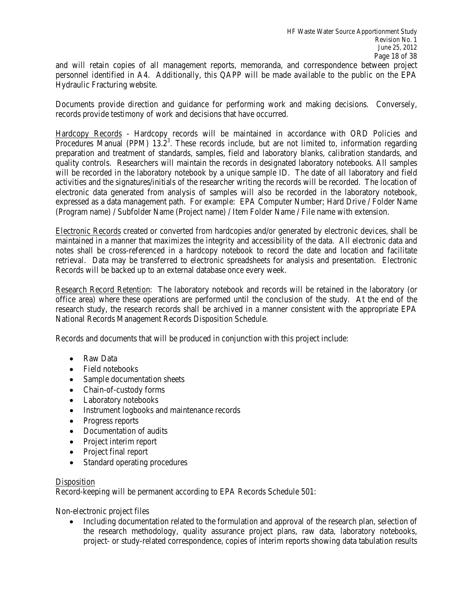personnel identified in A4. Additionally, this QAPP will be made available to the public on the EPA and will retain copies of all management reports, memoranda, and correspondence between project Hydraulic Fracturing website.

 records provide testimony of work and decisions that have occurred. Documents provide direction and guidance for performing work and making decisions. Conversely,

Hardcopy Records - Hardcopy records will be maintained in accordance with ORD Policies and Procedures Manual (PPM)  $13.2<sup>3</sup>$ . These records include, but are not limited to, information regarding activities and the signatures/initials of the researcher writing the records will be recorded. The location of preparation and treatment of standards, samples, field and laboratory blanks, calibration standards, and quality controls. Researchers will maintain the records in designated laboratory notebooks. All samples will be recorded in the laboratory notebook by a unique sample ID. The date of all laboratory and field electronic data generated from analysis of samples will also be recorded in the laboratory notebook, expressed as a data management path. For example: EPA Computer Number; Hard Drive / Folder Name (Program name) / Subfolder Name (Project name) / Item Folder Name / File name with extension.

Electronic Records created or converted from hardcopies and/or generated by electronic devices, shall be maintained in a manner that maximizes the integrity and accessibility of the data. All electronic data and notes shall be cross-referenced in a hardcopy notebook to record the date and location and facilitate retrieval. Data may be transferred to electronic spreadsheets for analysis and presentation. Electronic Records will be backed up to an external database once every week.

Research Record Retention: The laboratory notebook and records will be retained in the laboratory (or office area) where these operations are performed until the conclusion of the study. At the end of the research study, the research records shall be archived in a manner consistent with the appropriate EPA National Records Management Records Disposition Schedule.

Records and documents that will be produced in conjunction with this project include:

- Raw Data
- Field notebooks
- Sample documentation sheets
- Chain-of-custody forms
- Laboratory notebooks
- • Instrument logbooks and maintenance records
- Progress reports
- Documentation of audits
- Project interim report
- Project final report
- Standard operating procedures

#### **Disposition**

Record-keeping will be permanent according to EPA Records Schedule 501:

Non-electronic project files

• Including documentation related to the formulation and approval of the research plan, selection of the research methodology, quality assurance project plans, raw data, laboratory notebooks, project- or study-related correspondence, copies of interim reports showing data tabulation results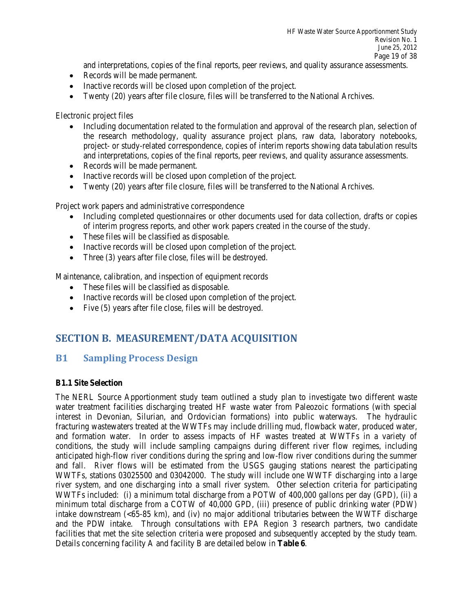and interpretations, copies of the final reports, peer reviews, and quality assurance assessments.

- Records will be made permanent.
- Inactive records will be closed upon completion of the project.
- Twenty (20) years after file closure, files will be transferred to the National Archives.

Electronic project files

- Including documentation related to the formulation and approval of the research plan, selection of the research methodology, quality assurance project plans, raw data, laboratory notebooks, project- or study-related correspondence, copies of interim reports showing data tabulation results and interpretations, copies of the final reports, peer reviews, and quality assurance assessments.
- Records will be made permanent.
- Inactive records will be closed upon completion of the project.
- Twenty (20) years after file closure, files will be transferred to the National Archives.

Project work papers and administrative correspondence

- of interim progress reports, and other work papers created in the course of the study. Including completed questionnaires or other documents used for data collection, drafts or copies
- These files will be classified as disposable.
- Inactive records will be closed upon completion of the project.
- Three (3) years after file close, files will be destroyed.

Maintenance, calibration, and inspection of equipment records

- These files will be classified as disposable.
- Inactive records will be closed upon completion of the project.
- Five (5) years after file close, files will be destroyed.

### **SECTION B. MEASUREMENT/DATA ACQUISITION**

### **B1 Sampling Process Design**

#### **B1.1 Site Selection**

 anticipated high-flow river conditions during the spring and low-flow river conditions during the summer and fall. River flows will be estimated from the USGS gauging stations nearest the participating WWTFs, stations 03025500 and 03042000. The study will include one WWTF discharging into a large river system, and one discharging into a small river system. Other selection criteria for participating and the PDW intake. Through consultations with EPA Region 3 research partners, two candidate facilities that met the site selection criteria were proposed and subsequently accepted by the study team. Details concerning facility A and facility B are detailed below in **Table 6**. The NERL Source Apportionment study team outlined a study plan to investigate two different waste water treatment facilities discharging treated HF waste water from Paleozoic formations (with special interest in Devonian, Silurian, and Ordovician formations) into public waterways. The hydraulic fracturing wastewaters treated at the WWTFs may include drilling mud, flowback water, produced water, and formation water. In order to assess impacts of HF wastes treated at WWTFs in a variety of conditions, the study will include sampling campaigns during different river flow regimes, including WWTFs included: (i) a minimum total discharge from a POTW of 400,000 gallons per day (GPD), (ii) a minimum total discharge from a COTW of 40,000 GPD, (iii) presence of public drinking water (PDW) intake downstream (<65-85 km), and (iv) no major additional tributaries between the WWTF discharge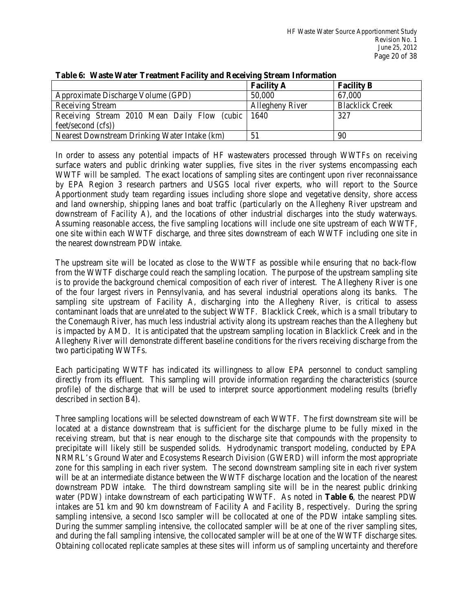|                                                    | <b>Facility A</b> | <b>Facility B</b>      |
|----------------------------------------------------|-------------------|------------------------|
| Approximate Discharge Volume (GPD)                 | 50,000            | 67,000                 |
| <b>Receiving Stream</b>                            | Allegheny River   | <b>Blacklick Creek</b> |
| Receiving Stream 2010 Mean Daily Flow (cubic 1640) |                   | 327                    |
| feet/second (cfs))                                 |                   |                        |
| Nearest Downstream Drinking Water Intake (km)      |                   | 90                     |

#### **Table 6: Waste Water Treatment Facility and Receiving Stream Information**

 In order to assess any potential impacts of HF wastewaters processed through WWTFs on receiving surface waters and public drinking water supplies, five sites in the river systems encompassing each WWTF will be sampled. The exact locations of sampling sites are contingent upon river reconnaissance by EPA Region 3 research partners and USGS local river experts, who will report to the Source downstream of Facility A), and the locations of other industrial discharges into the study waterways. downstream of Facility A), and the locations of other industrial discharges into the study waterways. Assuming reasonable access, the five sampling locations will include one site upstream of each WWTF, one site within each WWTF discharge, and three sites downstream of each WWTF including one site in Apportionment study team regarding issues including shore slope and vegetative density, shore access and land ownership, shipping lanes and boat traffic (particularly on the Allegheny River upstream and the nearest downstream PDW intake.

 is to provide the background chemical composition of each river of interest. The Allegheny River is one contaminant loads that are unrelated to the subject WWTF. Blacklick Creek, which is a small tributary to the Conemaugh River, has much less industrial activity along its upstream reaches than the Allegheny but is impacted by AMD. It is anticipated that the upstream sampling location in Blacklick Creek and in the The upstream site will be located as close to the WWTF as possible while ensuring that no back-flow from the WWTF discharge could reach the sampling location. The purpose of the upstream sampling site of the four largest rivers in Pennsylvania, and has several industrial operations along its banks. The sampling site upstream of Facility A, discharging into the Allegheny River, is critical to assess Allegheny River will demonstrate different baseline conditions for the rivers receiving discharge from the two participating WWTFs.

 Each participating WWTF has indicated its willingness to allow EPA personnel to conduct sampling directly from its effluent. This sampling will provide information regarding the characteristics (source profile) of the discharge that will be used to interpret source apportionment modeling results (briefly described in section B4).

 Three sampling locations will be selected downstream of each WWTF. The first downstream site will be located at a distance downstream that is sufficient for the discharge plume to be fully mixed in the precipitate will likely still be suspended solids. Hydrodynamic transport modeling, conducted by EPA will be at an intermediate distance between the WWTF discharge location and the location of the nearest downstream PDW intake. The third downstream sampling site will be in the nearest public drinking water (PDW) intake downstream of each participating WWTF. As noted in **Table 6**, the nearest PDW intakes are 51 km and 90 km downstream of Facility A and Facility B, respectively. During the spring sampling intensive, a second Isco sampler will be collocated at one of the PDW intake sampling sites. During the summer sampling intensive, the collocated sampler will be at one of the river sampling sites, and during the fall sampling intensive, the collocated sampler will be at one of the WWTF discharge sites. receiving stream, but that is near enough to the discharge site that compounds with the propensity to NRMRL's Ground Water and Ecosystems Research Division (GWERD) will inform the most appropriate zone for this sampling in each river system. The second downstream sampling site in each river system Obtaining collocated replicate samples at these sites will inform us of sampling uncertainty and therefore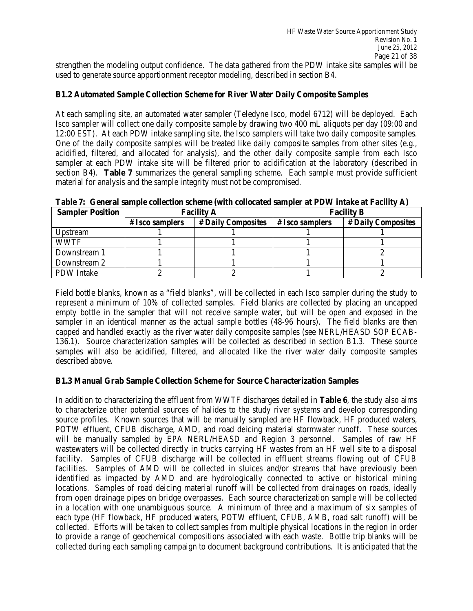strengthen the modeling output confidence. The data gathered from the PDW intake site samples will be used to generate source apportionment receptor modeling, described in section B4.

#### **B1.2 Automated Sample Collection Scheme for River Water Daily Composite Samples**

 At each sampling site, an automated water sampler (Teledyne Isco, model 6712) will be deployed. Each 12:00 EST). At each PDW intake sampling site, the Isco samplers will take two daily composite samples. Isco sampler will collect one daily composite sample by drawing two 400 mL aliquots per day (09:00 and One of the daily composite samples will be treated like daily composite samples from other sites (e.g., acidified, filtered, and allocated for analysis), and the other daily composite sample from each Isco sampler at each PDW intake site will be filtered prior to acidification at the laboratory (described in section B4). **Table 7** summarizes the general sampling scheme. Each sample must provide sufficient material for analysis and the sample integrity must not be compromised.

| <b>Sampler Position</b> | <b>Facility A</b> |                    | <b>Facility B</b> |                    |
|-------------------------|-------------------|--------------------|-------------------|--------------------|
|                         | $# Isco$ samplers | # Daily Composites | $# Isco$ samplers | # Daily Composites |
| Upstream                |                   |                    |                   |                    |
| <b>WWTF</b>             |                   |                    |                   |                    |
| Downstream 1            |                   |                    |                   |                    |
| Downstream 2            |                   |                    |                   |                    |

 **Table 7: General sample collection scheme (with collocated sampler at PDW intake at Facility A)** 

 empty bottle in the sampler that will not receive sample water, but will be open and exposed in the sampler in an identical manner as the actual sample bottles (48-96 hours). The field blanks are then capped and handled exactly as the river water daily composite samples (see NERL/HEASD SOP ECAB- 136.1). Source characterization samples will be collected as described in section B1.3. These source Field bottle blanks, known as a "field blanks", will be collected in each Isco sampler during the study to represent a minimum of 10% of collected samples. Field blanks are collected by placing an uncapped samples will also be acidified, filtered, and allocated like the river water daily composite samples described above.

#### **B1.3 Manual Grab Sample Collection Scheme for Source Characterization Samples**

PDW Intake

 In addition to characterizing the effluent from WWTF discharges detailed in **Table 6**, the study also aims to characterize other potential sources of halides to the study river systems and develop corresponding POTW effluent, CFUB discharge, AMD, and road deicing material stormwater runoff. These sources facility. Samples of CFUB discharge will be collected in effluent streams flowing out of CFUB facilities. Samples of AMD will be collected in sluices and/or streams that have previously been identified as impacted by AMD and are hydrologically connected to active or historical mining locations. Samples of road deicing material runoff will be collected from drainages on roads, ideally from open drainage pipes on bridge overpasses. Each source characterization sample will be collected collected. Efforts will be taken to collect samples from multiple physical locations in the region in order source profiles. Known sources that will be manually sampled are HF flowback, HF produced waters, will be manually sampled by EPA NERL/HEASD and Region 3 personnel. Samples of raw HF wastewaters will be collected directly in trucks carrying HF wastes from an HF well site to a disposal in a location with one unambiguous source. A minimum of three and a maximum of six samples of each type (HF flowback, HF produced waters, POTW effluent, CFUB, AMB, road salt runoff) will be to provide a range of geochemical compositions associated with each waste. Bottle trip blanks will be collected during each sampling campaign to document background contributions. It is anticipated that the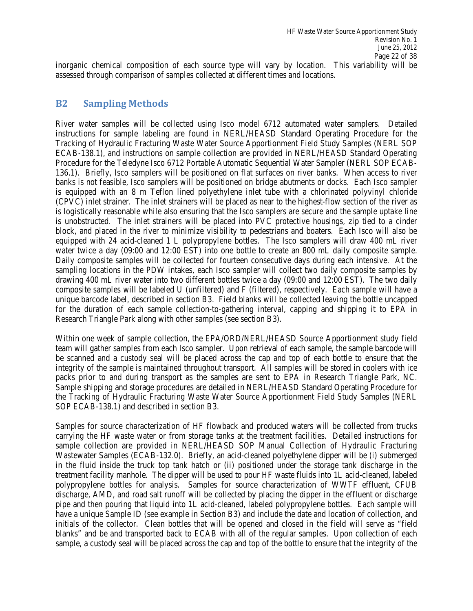inorganic chemical composition of each source type will vary by location. This variability will be assessed through comparison of samples collected at different times and locations.

### **B2 Sampling Methods**

 instructions for sample labeling are found in NERL/HEASD Standard Operating Procedure for the Tracking of Hydraulic Fracturing Waste Water Source Apportionment Field Study Samples (NERL SOP 136.1). Briefly, Isco samplers will be positioned on flat surfaces on river banks. When access to river banks is not feasible, Isco samplers will be positioned on bridge abutments or docks. Each Isco sampler (CPVC) inlet strainer. The inlet strainers will be placed as near to the highest-flow section of the river as is logistically reasonable while also ensuring that the Isco samplers are secure and the sample uptake line block, and placed in the river to minimize visibility to pedestrians and boaters. Each Isco will also be water twice a day (09:00 and 12:00 EST) into one bottle to create an 800 mL daily composite sample. sampling locations in the PDW intakes, each Isco sampler will collect two daily composite samples by drawing 400 mL river water into two different bottles twice a day (09:00 and 12:00 EST). The two daily for the duration of each sample collection-to-gathering interval, capping and shipping it to EPA in River water samples will be collected using Isco model 6712 automated water samplers. Detailed ECAB-138.1), and instructions on sample collection are provided in NERL/HEASD Standard Operating Procedure for the Teledyne Isco 6712 Portable Automatic Sequential Water Sampler (NERL SOP ECABis equipped with an 8 m Teflon lined polyethylene inlet tube with a chlorinated polyvinyl chloride is unobstructed. The inlet strainers will be placed into PVC protective housings, zip tied to a cinder equipped with 24 acid-cleaned 1 L polypropylene bottles. The Isco samplers will draw 400 mL river Daily composite samples will be collected for fourteen consecutive days during each intensive. At the composite samples will be labeled U (unfiltered) and F (filtered), respectively. Each sample will have a unique barcode label, described in section B3. Field blanks will be collected leaving the bottle uncapped Research Triangle Park along with other samples (see section B3).

 team will gather samples from each Isco sampler. Upon retrieval of each sample, the sample barcode will be scanned and a custody seal will be placed across the cap and top of each bottle to ensure that the integrity of the sample is maintained throughout transport. All samples will be stored in coolers with ice packs prior to and during transport as the samples are sent to EPA in Research Triangle Park, NC. the Tracking of Hydraulic Fracturing Waste Water Source Apportionment Field Study Samples (NERL Within one week of sample collection, the EPA/ORD/NERL/HEASD Source Apportionment study field Sample shipping and storage procedures are detailed in NERL/HEASD Standard Operating Procedure for SOP ECAB-138.1) and described in section B3.

 carrying the HF waste water or from storage tanks at the treatment facilities. Detailed instructions for Wastewater Samples (ECAB-132.0). Briefly, an acid-cleaned polyethylene dipper will be (i) submerged in the fluid inside the truck top tank hatch or (ii) positioned under the storage tank discharge in the discharge, AMD, and road salt runoff will be collected by placing the dipper in the effluent or discharge initials of the collector. Clean bottles that will be opened and closed in the field will serve as "field blanks" and be and transported back to ECAB with all of the regular samples. Upon collection of each sample, a custody seal will be placed across the cap and top of the bottle to ensure that the integrity of the Samples for source characterization of HF flowback and produced waters will be collected from trucks sample collection are provided in NERL/HEASD SOP Manual Collection of Hydraulic Fracturing treatment facility manhole. The dipper will be used to pour HF waste fluids into 1L acid-cleaned, labeled polypropylene bottles for analysis. Samples for source characterization of WWTF effluent, CFUB pipe and then pouring that liquid into 1L acid-cleaned, labeled polypropylene bottles. Each sample will have a unique Sample ID (see example in Section B3) and include the date and location of collection, and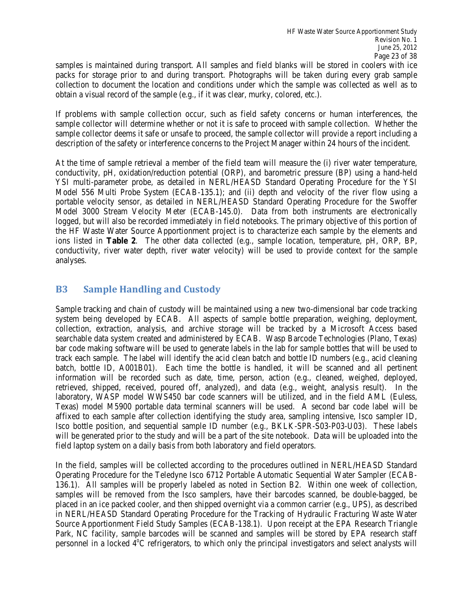samples is maintained during transport. All samples and field blanks will be stored in coolers with ice collection to document the location and conditions under which the sample was collected as well as to packs for storage prior to and during transport. Photographs will be taken during every grab sample obtain a visual record of the sample (e.g., if it was clear, murky, colored, etc.).

 If problems with sample collection occur, such as field safety concerns or human interferences, the sample collector will determine whether or not it is safe to proceed with sample collection. Whether the sample collector deems it safe or unsafe to proceed, the sample collector will provide a report including a description of the safety or interference concerns to the Project Manager within 24 hours of the incident.

 At the time of sample retrieval a member of the field team will measure the (i) river water temperature, conductivity, pH, oxidation/reduction potential (ORP), and barometric pressure (BP) using a hand-held YSI multi-parameter probe, as detailed in NERL/HEASD Standard Operating Procedure for the YSI Model 556 Multi Probe System (ECAB-135.1); and (ii) depth and velocity of the river flow using a portable velocity sensor, as detailed in NERL/HEASD Standard Operating Procedure for the Swoffer Model 3000 Stream Velocity Meter (ECAB-145.0). Data from both instruments are electronically logged, but will also be recorded immediately in field notebooks. The primary objective of this portion of ions listed in **Table 2**. The other data collected (e.g., sample location, temperature, pH, ORP, BP, conductivity, river water depth, river water velocity) will be used to provide context for the sample the HF Waste Water Source Apportionment project is to characterize each sample by the elements and analyses.

### **B3 Sample Handling and Custody**

 Sample tracking and chain of custody will be maintained using a new two-dimensional bar code tracking searchable data system created and administered by ECAB. Wasp Barcode Technologies (Plano, Texas) bar code making software will be used to generate labels in the lab for sample bottles that will be used to track each sample. The label will identify the acid clean batch and bottle ID numbers (e.g., acid cleaning affixed to each sample after collection identifying the study area, sampling intensive, Isco sampler ID, Isco bottle position, and sequential sample ID number (e.g., BKLK-SPR-S03-P03-U03). These labels system being developed by ECAB. All aspects of sample bottle preparation, weighing, deployment, collection, extraction, analysis, and archive storage will be tracked by a Microsoft Access based batch, bottle ID, A001B01). Each time the bottle is handled, it will be scanned and all pertinent information will be recorded such as date, time, person, action (e.g., cleaned, weighed, deployed, retrieved, shipped, received, poured off, analyzed), and data (e.g., weight, analysis result). In the laboratory, WASP model WWS450 bar code scanners will be utilized, and in the field AML (Euless, Texas) model M5900 portable data terminal scanners will be used. A second bar code label will be will be generated prior to the study and will be a part of the site notebook. Data will be uploaded into the field laptop system on a daily basis from both laboratory and field operators.

 samples will be removed from the Isco samplers, have their barcodes scanned, be double-bagged, be in NERL/HEASD Standard Operating Procedure for the Tracking of Hydraulic Fracturing Waste Water Source Apportionment Field Study Samples (ECAB-138.1). Upon receipt at the EPA Research Triangle In the field, samples will be collected according to the procedures outlined in NERL/HEASD Standard Operating Procedure for the Teledyne Isco 6712 Portable Automatic Sequential Water Sampler (ECAB-136.1). All samples will be properly labeled as noted in Section B2. Within one week of collection, placed in an ice packed cooler, and then shipped overnight via a common carrier (e.g., UPS), as described Park, NC facility, sample barcodes will be scanned and samples will be stored by EPA research staff personnel in a locked 4<sup>°</sup>C refrigerators, to which only the principal investigators and select analysts will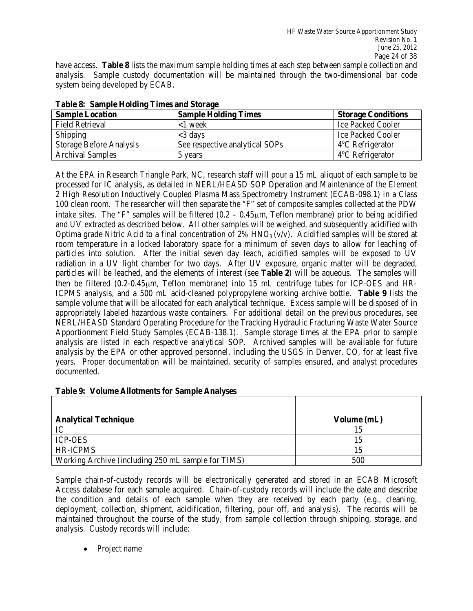have access. **Table 8** lists the maximum sample holding times at each step between sample collection and analysis. Sample custody documentation will be maintained through the two-dimensional bar code system being developed by ECAB.

| <b>Sample Location</b>         | <b>Sample Holding Times</b>    | <b>Storage Conditions</b>  |
|--------------------------------|--------------------------------|----------------------------|
| <b>Field Retrieval</b>         | $<$ 1 week                     | <b>Ice Packed Cooler</b>   |
| Shipping                       | $\leq$ 3 days                  | Ice Packed Cooler          |
| <b>Storage Before Analysis</b> | See respective analytical SOPs | $4^{\circ}$ C Refrigerator |
| <b>Archival Samples</b>        | 5 years                        | $4^{\circ}$ C Refrigerator |

| <b>Table 8: Sample Holding Times and Storage</b> |  |  |  |  |
|--------------------------------------------------|--|--|--|--|
|--------------------------------------------------|--|--|--|--|

 processed for IC analysis, as detailed in NERL/HEASD SOP Operation and Maintenance of the Element 100 clean room. The researcher will then separate the "F" set of composite samples collected at the PDW intake sites. The "F" samples will be filtered (0.2 – 0.45µm, Teflon membrane) prior to being acidified room temperature in a locked laboratory space for a minimum of seven days to allow for leaching of particles will be leached, and the elements of interest (see **Table 2**) will be aqueous. The samples will appropriately labeled hazardous waste containers. For additional detail on the previous procedures, see NERL/HEASD Standard Operating Procedure for the Tracking Hydraulic Fracturing Waste Water Source At the EPA in Research Triangle Park, NC, research staff will pour a 15 mL aliquot of each sample to be 2 High Resolution Inductively Coupled Plasma Mass Spectrometry Instrument (ECAB-098.1) in a Class and UV extracted as described below. All other samples will be weighed, and subsequently acidified with Optima grade Nitric Acid to a final concentration of 2%  $HNO<sub>3</sub>(v/v)$ . Acidified samples will be stored at particles into solution. After the initial seven day leach, acidified samples will be exposed to UV radiation in a UV light chamber for two days. After UV exposure, organic matter will be degraded, then be filtered (0.2-0.45µm, Teflon membrane) into 15 mL centrifuge tubes for ICP-OES and HR-ICPMS analysis, and a 500 mL acid-cleaned polypropylene working archive bottle. **Table 9** lists the sample volume that will be allocated for each analytical technique. Excess sample will be disposed of in Apportionment Field Study Samples (ECAB-138.1). Sample storage times at the EPA prior to sample analysis are listed in each respective analytical SOP. Archived samples will be available for future analysis by the EPA or other approved personnel, including the USGS in Denver, CO, for at least five years. Proper documentation will be maintained, security of samples ensured, and analyst procedures documented.

|  |  | Table 9: Volume Allotments for Sample Analyses |  |  |  |  |
|--|--|------------------------------------------------|--|--|--|--|
|--|--|------------------------------------------------|--|--|--|--|

| <b>Analytical Technique</b>                        | Volume (mL) |
|----------------------------------------------------|-------------|
| IC                                                 |             |
| <b>ICP-OES</b>                                     |             |
| <b>HR-ICPMS</b>                                    |             |
| Working Archive (including 250 mL sample for TIMS) | 500         |

 Sample chain-of-custody records will be electronically generated and stored in an ECAB Microsoft analysis. Custody records will include: Access database for each sample acquired. Chain-of-custody records will include the date and describe the condition and details of each sample when they are received by each party (e.g., cleaning, deployment, collection, shipment, acidification, filtering, pour off, and analysis). The records will be maintained throughout the course of the study, from sample collection through shipping, storage, and

• Project name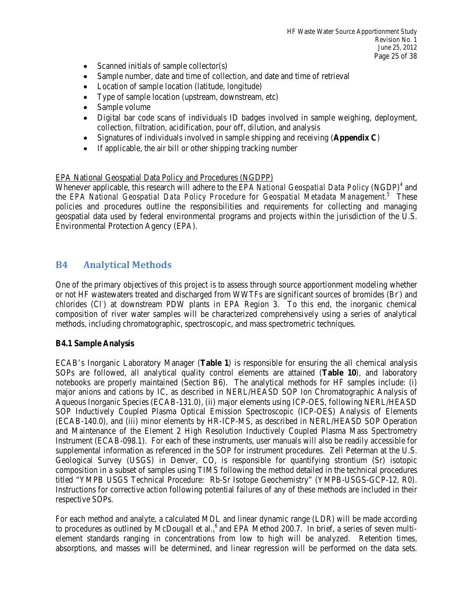- Scanned initials of sample collector $(s)$
- Sample number, date and time of collection, and date and time of retrieval
- Location of sample location (latitude, longitude)
- Type of sample location (upstream, downstream, etc)
- Sample volume
- Digital bar code scans of individuals ID badges involved in sample weighing, deployment, collection, filtration, acidification, pour off, dilution, and analysis
- • Signatures of individuals involved in sample shipping and receiving (**Appendix C**)
- If applicable, the air bill or other shipping tracking number

#### EPA National Geospatial Data Policy and Procedures (NGDPP)

Whenever applicable, this research will adhere to the *EPA National Geospatial Data Policy* (NGDP)<sup>4</sup> and the *EPA National Geospatial Data Policy Procedure for Geospatial Metadata Management.*5 These geospatial data used by federal environmental programs and projects within the jurisdiction of the U.S. policies and procedures outline the responsibilities and requirements for collecting and managing Environmental Protection Agency (EPA).

### **B4 Analytical Methods**

 One of the primary objectives of this project is to assess through source apportionment modeling whether or not HF wastewaters treated and discharged from WWTFs are significant sources of bromides (Br) and chlorides (Cl<sup>-</sup>) at downstream PDW plants in EPA Region 3. To this end, the inorganic chemical composition of river water samples will be characterized comprehensively using a series of analytical methods, including chromatographic, spectroscopic, and mass spectrometric techniques.

#### **B4.1 Sample Analysis**

 notebooks are properly maintained (Section B6). The analytical methods for HF samples include: (i) major anions and cations by IC, as described in NERL/HEASD SOP Ion Chromatographic Analysis of (ECAB-140.0), and (iii) minor elements by HR-ICP-MS, as described in NERL/HEASD SOP Operation supplemental information as referenced in the SOP for instrument procedures. Zell Peterman at the U.S. composition in a subset of samples using TIMS following the method detailed in the technical procedures ECAB's Inorganic Laboratory Manager (**Table 1**) is responsible for ensuring the all chemical analysis SOPs are followed, all analytical quality control elements are attained (**Table 10**), and laboratory Aqueous Inorganic Species (ECAB-131.0), (ii) major elements using ICP-OES, following NERL/HEASD SOP Inductively Coupled Plasma Optical Emission Spectroscopic (ICP-OES) Analysis of Elements and Maintenance of the Element 2 High Resolution Inductively Coupled Plasma Mass Spectrometry Instrument (ECAB-098.1). For each of these instruments, user manuals will also be readily accessible for Geological Survey (USGS) in Denver, CO, is responsible for quantifying strontium (Sr) isotopic titled "YMPB USGS Technical Procedure: Rb-Sr Isotope Geochemistry" (YMPB-USGS-GCP-12, R0). Instructions for corrective action following potential failures of any of these methods are included in their respective SOPs.

 absorptions, and masses will be determined, and linear regression will be performed on the data sets. For each method and analyte, a calculated MDL and linear dynamic range (LDR) will be made according to procedures as outlined by McDougall et al.,<sup>6</sup> and EPA Method 200.7. In brief, a series of seven multielement standards ranging in concentrations from low to high will be analyzed. Retention times,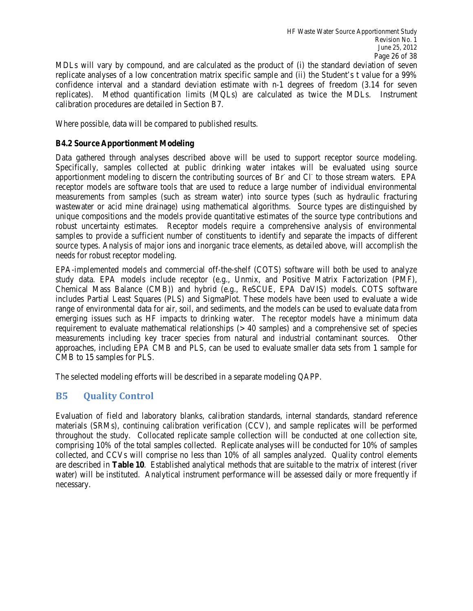replicates). Method quantification limits (MQLs) are calculated as twice the MDLs. Instrument calibration procedures are detailed in Section B7. MDLs will vary by compound, and are calculated as the product of (i) the standard deviation of seven replicate analyses of a low concentration matrix specific sample and (ii) the Student's t value for a 99% confidence interval and a standard deviation estimate with n-1 degrees of freedom (3.14 for seven

Where possible, data will be compared to published results.

#### **B4.2 Source Apportionment Modeling**

 Data gathered through analyses described above will be used to support receptor source modeling. apportionment modeling to discern the contributing sources of Br and Cl to those stream waters. EPA Specifically, samples collected at public drinking water intakes will be evaluated using source receptor models are software tools that are used to reduce a large number of individual environmental measurements from samples (such as stream water) into source types (such as hydraulic fracturing wastewater or acid mine drainage) using mathematical algorithms. Source types are distinguished by unique compositions and the models provide quantitative estimates of the source type contributions and robust uncertainty estimates. Receptor models require a comprehensive analysis of environmental samples to provide a sufficient number of constituents to identify and separate the impacts of different source types. Analysis of major ions and inorganic trace elements, as detailed above, will accomplish the needs for robust receptor modeling.

 EPA-implemented models and commercial off-the-shelf (COTS) software will both be used to analyze Chemical Mass Balance (CMB)) and hybrid (e.g., ReSCUE, EPA DaVIS) models. COTS software range of environmental data for air, soil, and sediments, and the models can be used to evaluate data from emerging issues such as HF impacts to drinking water. The receptor models have a minimum data requirement to evaluate mathematical relationships (> 40 samples) and a comprehensive set of species approaches, including EPA CMB and PLS, can be used to evaluate smaller data sets from 1 sample for CMB to 15 samples for PLS. study data. EPA models include receptor (e.g., Unmix, and Positive Matrix Factorization (PMF), includes Partial Least Squares (PLS) and SigmaPlot. These models have been used to evaluate a wide measurements including key tracer species from natural and industrial contaminant sources. Other

The selected modeling efforts will be described in a separate modeling QAPP.

### **B5 Quality Control**

 comprising 10% of the total samples collected. Replicate analyses will be conducted for 10% of samples collected, and CCVs will comprise no less than 10% of all samples analyzed. Quality control elements are described in **Table 10**. Established analytical methods that are suitable to the matrix of interest (river water) will be instituted. Analytical instrument performance will be assessed daily or more frequently if Evaluation of field and laboratory blanks, calibration standards, internal standards, standard reference materials (SRMs), continuing calibration verification (CCV), and sample replicates will be performed throughout the study. Collocated replicate sample collection will be conducted at one collection site, necessary.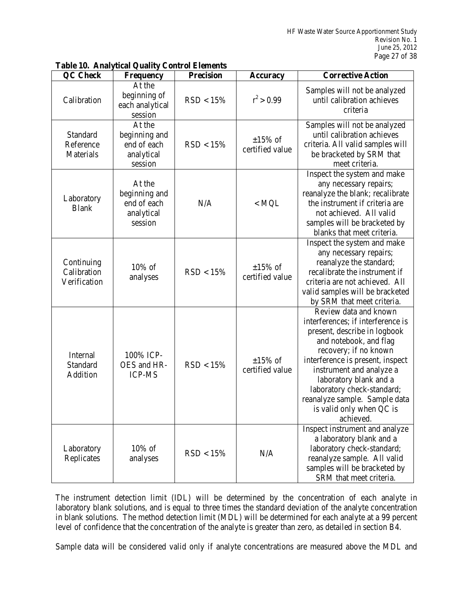| <b>QC</b> Check                           | <b>Frequency</b>                                                | <b>Precision</b> | <b>Accuracy</b>                  | <b>Corrective Action</b>                                                                                                                                                                                                                                                                                                                        |
|-------------------------------------------|-----------------------------------------------------------------|------------------|----------------------------------|-------------------------------------------------------------------------------------------------------------------------------------------------------------------------------------------------------------------------------------------------------------------------------------------------------------------------------------------------|
| Calibration                               | At the<br>beginning of<br>each analytical<br>session            | RSD < 15%        | $r^2 > 0.99$                     | Samples will not be analyzed<br>until calibration achieves<br>criteria                                                                                                                                                                                                                                                                          |
| Standard<br>Reference<br>Materials        | At the<br>beginning and<br>end of each<br>analytical<br>session | RSD < 15%        | $\pm 15\%$ of<br>certified value | Samples will not be analyzed<br>until calibration achieves<br>criteria. All valid samples will<br>be bracketed by SRM that<br>meet criteria.                                                                                                                                                                                                    |
| Laboratory<br><b>Blank</b>                | At the<br>beginning and<br>end of each<br>analytical<br>session | N/A              | $<$ MQL                          | Inspect the system and make<br>any necessary repairs;<br>reanalyze the blank; recalibrate<br>the instrument if criteria are<br>not achieved. All valid<br>samples will be bracketed by<br>blanks that meet criteria.                                                                                                                            |
| Continuing<br>Calibration<br>Verification | 10% of<br>analyses                                              | RSD < 15%        | $\pm 15\%$ of<br>certified value | Inspect the system and make<br>any necessary repairs;<br>reanalyze the standard;<br>recalibrate the instrument if<br>criteria are not achieved. All<br>valid samples will be bracketed<br>by SRM that meet criteria.                                                                                                                            |
| Internal<br>Standard<br>Addition          | 100% ICP-<br>OES and HR-<br><b>ICP-MS</b>                       | RSD < 15%        | $\pm 15\%$ of<br>certified value | Review data and known<br>interferences; if interference is<br>present, describe in logbook<br>and notebook, and flag<br>recovery; if no known<br>interference is present, inspect<br>instrument and analyze a<br>laboratory blank and a<br>laboratory check-standard;<br>reanalyze sample. Sample data<br>is valid only when QC is<br>achieved. |
| Laboratory<br>Replicates                  | $10\%$ of<br>analyses                                           | RSD < 15%        | N/A                              | Inspect instrument and analyze<br>a laboratory blank and a<br>laboratory check-standard;<br>reanalyze sample. All valid<br>samples will be bracketed by<br>SRM that meet criteria.                                                                                                                                                              |

#### **Table 10. Analytical Quality Control Elements**

 The instrument detection limit (IDL) will be determined by the concentration of each analyte in laboratory blank solutions, and is equal to three times the standard deviation of the analyte concentration in blank solutions. The method detection limit (MDL) will be determined for each analyte at a 99 percent level of confidence that the concentration of the analyte is greater than zero, as detailed in section B4.

Sample data will be considered valid only if analyte concentrations are measured above the MDL and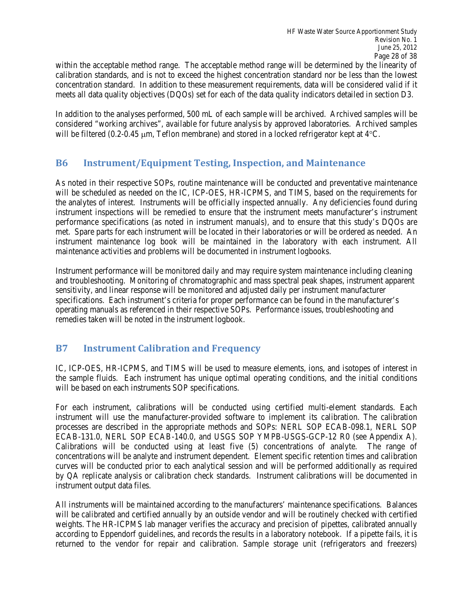within the acceptable method range. The acceptable method range will be determined by the linearity of calibration standards, and is not to exceed the highest concentration standard nor be less than the lowest concentration standard. In addition to these measurement requirements, data will be considered valid if it meets all data quality objectives (DQOs) set for each of the data quality indicators detailed in section D3.

 In addition to the analyses performed, 500 mL of each sample will be archived. Archived samples will be considered "working archives", available for future analysis by approved laboratories. Archived samples will be filtered (0.2-0.45  $\mu$ m, Teflon membrane) and stored in a locked refrigerator kept at 4 $\degree$ C.

### **B6 Instrument/Equipment Testing, Inspection, and Maintenance**

 performance specifications (as noted in instrument manuals), and to ensure that this study's DQOs are instrument maintenance log book will be maintained in the laboratory with each instrument. All As noted in their respective SOPs, routine maintenance will be conducted and preventative maintenance will be scheduled as needed on the IC, ICP-OES, HR-ICPMS, and TIMS, based on the requirements for the analytes of interest. Instruments will be officially inspected annually. Any deficiencies found during instrument inspections will be remedied to ensure that the instrument meets manufacturer's instrument met. Spare parts for each instrument will be located in their laboratories or will be ordered as needed. An maintenance activities and problems will be documented in instrument logbooks.

 sensitivity, and linear response will be monitored and adjusted daily per instrument manufacturer operating manuals as referenced in their respective SOPs. Performance issues, troubleshooting and remedies taken will be noted in the instrument logbook. Instrument performance will be monitored daily and may require system maintenance including cleaning and troubleshooting. Monitoring of chromatographic and mass spectral peak shapes, instrument apparent specifications. Each instrument's criteria for proper performance can be found in the manufacturer's

### **B7 Instrument Calibration and Frequency**

 IC, ICP-OES, HR-ICPMS, and TIMS will be used to measure elements, ions, and isotopes of interest in the sample fluids. Each instrument has unique optimal operating conditions, and the initial conditions will be based on each instruments SOP specifications.

 Calibrations will be conducted using at least five (5) concentrations of analyte. The range of by QA replicate analysis or calibration check standards. Instrument calibrations will be documented in For each instrument, calibrations will be conducted using certified multi-element standards. Each instrument will use the manufacturer-provided software to implement its calibration. The calibration processes are described in the appropriate methods and SOPs: NERL SOP ECAB-098.1, NERL SOP ECAB-131.0, NERL SOP ECAB-140.0, and USGS SOP YMPB-USGS-GCP-12 R0 (see Appendix A). concentrations will be analyte and instrument dependent. Element specific retention times and calibration curves will be conducted prior to each analytical session and will be performed additionally as required instrument output data files.

 All instruments will be maintained according to the manufacturers' maintenance specifications. Balances weights. The HR-ICPMS lab manager verifies the accuracy and precision of pipettes, calibrated annually according to Eppendorf guidelines, and records the results in a laboratory notebook. If a pipette fails, it is returned to the vendor for repair and calibration. Sample storage unit (refrigerators and freezers) will be calibrated and certified annually by an outside vendor and will be routinely checked with certified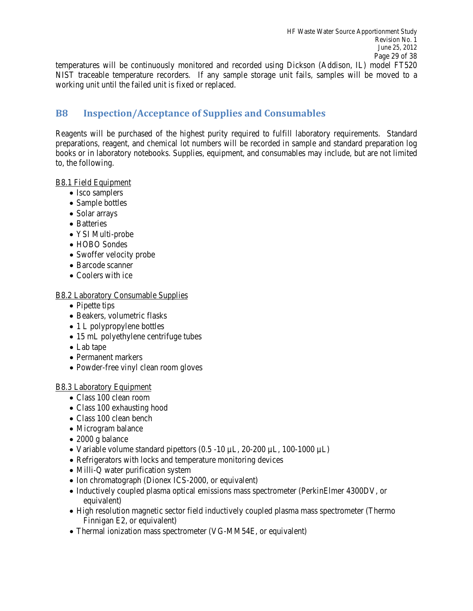NIST traceable temperature recorders. If any sample storage unit fails, samples will be moved to a working unit until the failed unit is fixed or replaced. temperatures will be continuously monitored and recorded using Dickson (Addison, IL) model FT520

### **B8 Inspection/Acceptance of Supplies and Consumables**

 preparations, reagent, and chemical lot numbers will be recorded in sample and standard preparation log Reagents will be purchased of the highest purity required to fulfill laboratory requirements. Standard books or in laboratory notebooks. Supplies, equipment, and consumables may include, but are not limited to, the following.

#### B8.1 Field Equipment

- Isco samplers
- Sample bottles
- Solar arrays
- Batteries
- YSI Multi-probe
- HOBO Sondes
- Swoffer velocity probe
- Barcode scanner
- Coolers with ice

#### B8.2 Laboratory Consumable Supplies

- Pipette tips
- Beakers, volumetric flasks
- 1 L polypropylene bottles
- 15 mL polyethylene centrifuge tubes
- Lab tape
- Permanent markers
- Powder-free vinyl clean room gloves

#### B8.3 Laboratory Equipment

- Class 100 clean room
- Class 100 exhausting hood
- Class 100 clean bench
- Microgram balance
- 2000 g balance
- Variable volume standard pipettors  $(0.5 -10 \mu L, 20 -200 \mu L, 100 -1000 \mu L)$
- Refrigerators with locks and temperature monitoring devices
- Milli-Q water purification system
- Ion chromatograph (Dionex ICS-2000, or equivalent)
- Inductively coupled plasma optical emissions mass spectrometer (PerkinElmer 4300DV, or equivalent)
- High resolution magnetic sector field inductively coupled plasma mass spectrometer (Thermo Finnigan E2, or equivalent)
- Thermal ionization mass spectrometer (VG-MM54E, or equivalent)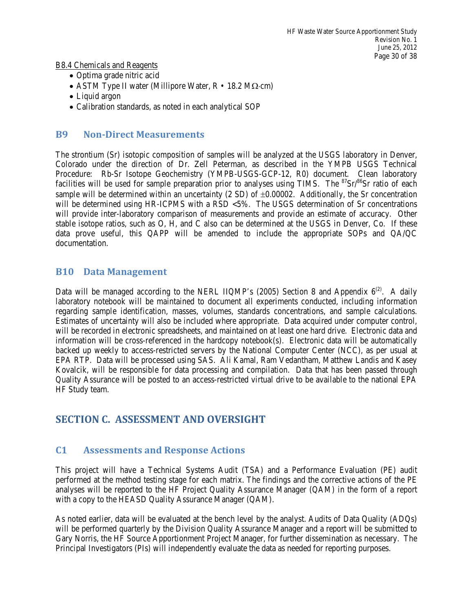B8.4 Chemicals and Reagents

- Optima grade nitric acid
- ASTM Type II water (Millipore Water, R 18.2 MΩ⋅cm)
- Liquid argon
- Calibration standards, as noted in each analytical SOP

### **B9 Non-Direct Measurements**

 will provide inter-laboratory comparison of measurements and provide an estimate of accuracy. Other stable isotope ratios, such as O, H, and C also can be determined at the USGS in Denver, Co. If these The strontium (Sr) isotopic composition of samples will be analyzed at the USGS laboratory in Denver, Colorado under the direction of Dr. Zell Peterman, as described in the YMPB USGS Technical Procedure: Rb-Sr Isotope Geochemistry (YMPB-USGS-GCP-12, R0) document. Clean laboratory facilities will be used for sample preparation prior to analyses using TIMS. The  ${}^{87}Sr/{}^{86}Sr$  ratio of each sample will be determined within an uncertainty  $(2 SD)$  of  $\pm 0.00002$ . Additionally, the Sr concentration will be determined using HR-ICPMS with a RSD <5%. The USGS determination of Sr concentrations data prove useful, this QAPP will be amended to include the appropriate SOPs and QA/QC documentation.

### **B10 Data Management**

Data will be managed according to the NERL IIQMP's (2005) Section 8 and Appendix  $6^{(2)}$ . A daily Estimates of uncertainty will also be included where appropriate. Data acquired under computer control, will be recorded in electronic spreadsheets, and maintained on at least one hard drive. Electronic data and information will be cross-referenced in the hardcopy notebook(s). Electronic data will be automatically Kovalcik, will be responsible for data processing and compilation. Data that has been passed through laboratory notebook will be maintained to document all experiments conducted, including information regarding sample identification, masses, volumes, standards concentrations, and sample calculations. backed up weekly to access-restricted servers by the National Computer Center (NCC), as per usual at EPA RTP. Data will be processed using SAS. Ali Kamal, Ram Vedantham, Matthew Landis and Kasey Quality Assurance will be posted to an access-restricted virtual drive to be available to the national EPA HF Study team.

## **SECTION C. ASSESSMENT AND OVERSIGHT**

### **C1 Assessments and Response Actions**

 This project will have a Technical Systems Audit (TSA) and a Performance Evaluation (PE) audit analyses will be reported to the HF Project Quality Assurance Manager (QAM) in the form of a report with a copy to the HEASD Quality Assurance Manager (QAM). performed at the method testing stage for each matrix. The findings and the corrective actions of the PE

 As noted earlier, data will be evaluated at the bench level by the analyst. Audits of Data Quality (ADQs) will be performed quarterly by the Division Quality Assurance Manager and a report will be submitted to Gary Norris, the HF Source Apportionment Project Manager, for further dissemination as necessary. The Principal Investigators (PIs) will independently evaluate the data as needed for reporting purposes.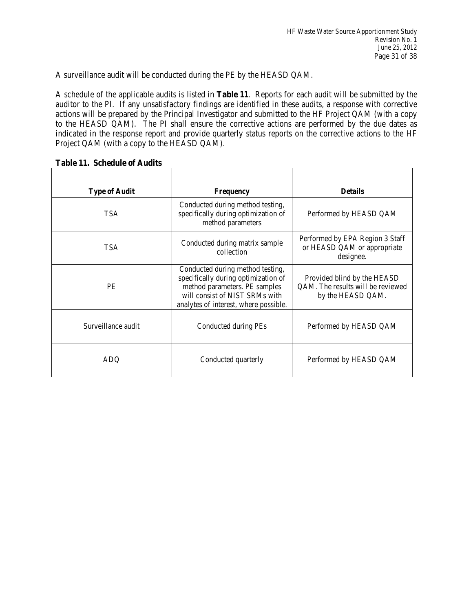A surveillance audit will be conducted during the PE by the HEASD QAM.

 A schedule of the applicable audits is listed in **Table 11**. Reports for each audit will be submitted by the auditor to the PI. If any unsatisfactory findings are identified in these audits, a response with corrective actions will be prepared by the Principal Investigator and submitted to the HF Project QAM (with a copy to the HEASD QAM). The PI shall ensure the corrective actions are performed by the due dates as indicated in the response report and provide quarterly status reports on the corrective actions to the HF Project QAM (with a copy to the HEASD QAM).

| <b>Type of Audit</b> | <b>Frequency</b>                                                                                                                                                                    | <b>Details</b>                                                                        |  |
|----------------------|-------------------------------------------------------------------------------------------------------------------------------------------------------------------------------------|---------------------------------------------------------------------------------------|--|
| <b>TSA</b>           | Conducted during method testing,<br>specifically during optimization of<br>method parameters                                                                                        | Performed by HEASD QAM                                                                |  |
| <b>TSA</b>           | Conducted during matrix sample<br>collection                                                                                                                                        | Performed by EPA Region 3 Staff<br>or HEASD QAM or appropriate<br>designee.           |  |
| <b>PE</b>            | Conducted during method testing,<br>specifically during optimization of<br>method parameters. PE samples<br>will consist of NIST SRMs with<br>analytes of interest, where possible. | Provided blind by the HEASD<br>QAM. The results will be reviewed<br>by the HEASD QAM. |  |
| Surveillance audit   | Conducted during PEs                                                                                                                                                                | Performed by HEASD QAM                                                                |  |
| ADO                  | Conducted quarterly                                                                                                                                                                 | Performed by HEASD QAM                                                                |  |

#### **Table 11. Schedule of Audits**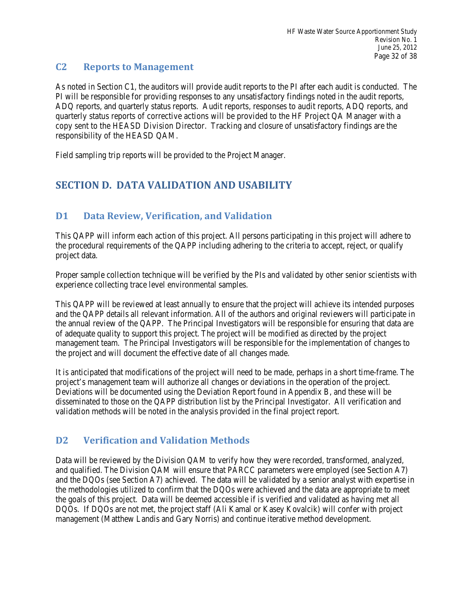#### $C<sub>2</sub>$ **Reports to Management**

 As noted in Section C1, the auditors will provide audit reports to the PI after each audit is conducted. The quarterly status reports of corrective actions will be provided to the HF Project QA Manager with a copy sent to the HEASD Division Director. Tracking and closure of unsatisfactory findings are the PI will be responsible for providing responses to any unsatisfactory findings noted in the audit reports, ADQ reports, and quarterly status reports. Audit reports, responses to audit reports, ADQ reports, and responsibility of the HEASD QAM.

Field sampling trip reports will be provided to the Project Manager.

## **SECTION D. DATA VALIDATION AND USABILITY**

## **D1 Data Review, Verification, and Validation**

 the procedural requirements of the QAPP including adhering to the criteria to accept, reject, or qualify This QAPP will inform each action of this project. All persons participating in this project will adhere to project data.

 Proper sample collection technique will be verified by the PIs and validated by other senior scientists with experience collecting trace level environmental samples.

 This QAPP will be reviewed at least annually to ensure that the project will achieve its intended purposes and the QAPP details all relevant information. All of the authors and original reviewers will participate in the annual review of the QAPP. The Principal Investigators will be responsible for ensuring that data are management team. The Principal Investigators will be responsible for the implementation of changes to of adequate quality to support this project. The project will be modified as directed by the project the project and will document the effective date of all changes made.

 It is anticipated that modifications of the project will need to be made, perhaps in a short time-frame. The disseminated to those on the QAPP distribution list by the Principal Investigator. All verification and project's management team will authorize all changes or deviations in the operation of the project. Deviations will be documented using the Deviation Report found in Appendix B, and these will be validation methods will be noted in the analysis provided in the final project report.

## **D2 Verification and Validation Methods**

 DQOs. If DQOs are not met, the project staff (Ali Kamal or Kasey Kovalcik) will confer with project Data will be reviewed by the Division QAM to verify how they were recorded, transformed, analyzed, and qualified. The Division QAM will ensure that PARCC parameters were employed (see Section A7) and the DQOs (see Section A7) achieved. The data will be validated by a senior analyst with expertise in the methodologies utilized to confirm that the DQOs were achieved and the data are appropriate to meet the goals of this project. Data will be deemed accessible if is verified and validated as having met all management (Matthew Landis and Gary Norris) and continue iterative method development.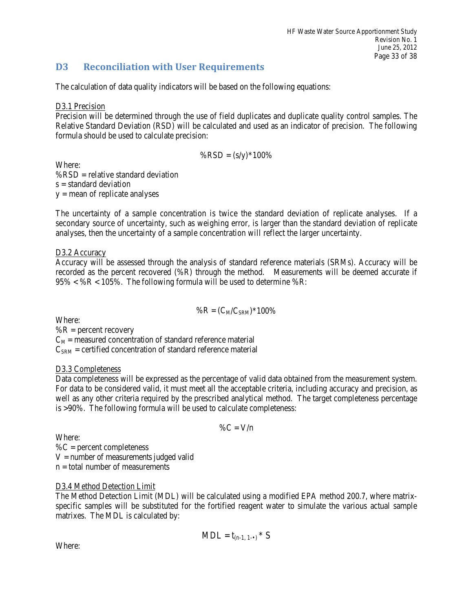### **D3 Reconciliation with User Requirements**

The calculation of data quality indicators will be based on the following equations:

#### D3.1 Precision

 Relative Standard Deviation (RSD) will be calculated and used as an indicator of precision. The following Precision will be determined through the use of field duplicates and duplicate quality control samples. The formula should be used to calculate precision:

$$
\% RSD = (s/y)^* 100\%
$$

Where:  $%$ RSD = relative standard deviation  $s =$  standard deviation y = mean of replicate analyses

 secondary source of uncertainty, such as weighing error, is larger than the standard deviation of replicate The uncertainty of a sample concentration is twice the standard deviation of replicate analyses. If a analyses, then the uncertainty of a sample concentration will reflect the larger uncertainty.

#### D3.2 Accuracy

 $95\% < \% R < 105\%$ . The following formula will be used to determine  $\% R$ : Accuracy will be assessed through the analysis of standard reference materials (SRMs). Accuracy will be recorded as the percent recovered (%R) through the method. Measurements will be deemed accurate if

$$
\%R = (C_M/C_{SRM})^*100\%
$$

Where:

 $%R$  = percent recovery

 $C_M$  = measured concentration of standard reference material

 $C_{SRM}$  = certified concentration of standard reference material

#### D3.3 Completeness

Data completeness will be expressed as the percentage of valid data obtained from the measurement system. For data to be considered valid, it must meet all the acceptable criteria, including accuracy and precision, as well as any other criteria required by the prescribed analytical method. The target completeness percentage is >90%. The following formula will be used to calculate completeness:

$$
\%C=V/n
$$

Where:  $\%C$  = percent completeness  $V =$  number of measurements judged valid  $n =$  total number of measurements

#### D3.4 Method Detection Limit

 specific samples will be substituted for the fortified reagent water to simulate the various actual sample The Method Detection Limit (MDL) will be calculated using a modified EPA method 200.7, where matrixmatrixes. The MDL is calculated by:

$$
MDL = t_{(n-1, 1-\bullet)} * S
$$

Where: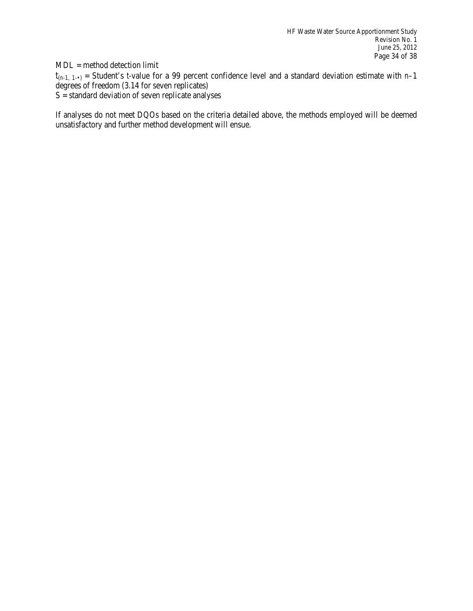MDL = method detection limit

 $t_{(n-1, 1-)}$  = Student's *t*-value for a 99 percent confidence level and a standard deviation estimate with *n*-1 degrees of freedom (3.14 for seven replicates)

 $S =$  standard deviation of seven replicate analyses

If analyses do not meet DQOs based on the criteria detailed above, the methods employed will be deemed unsatisfactory and further method development will ensue.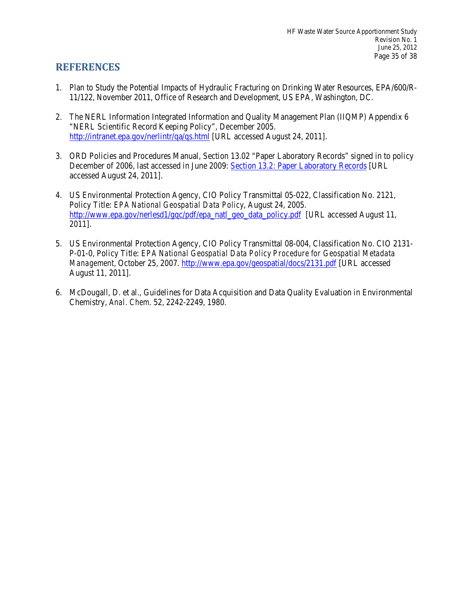## **REFERENCES**

- 1. Plan to Study the Potential Impacts of Hydraulic Fracturing on Drinking Water Resources, EPA/600/R-11/122, November 2011, Office of Research and Development, US EPA, Washington, DC.
- 2. The NERL Information Integrated Information and Quality Management Plan (IIQMP) Appendix 6 "NERL Scientific Record Keeping Policy", December 2005. <http://intranet.epa.gov/nerlintr/qa/qs.html>[URL accessed August 24, 2011].
- December of 2006, last accessed in June 2009: [Section 13.2: Paper Laboratory Records](http://dcordhqapps1.epa.gov:9876/orma/policies.nsf/f536fba05d681a598525702600653e9c/c820ee1b2ec5289385257218006abf91?OpenDocument) [URL 3. ORD Policies and Procedures Manual, Section 13.02 "Paper Laboratory Records" signed in to policy accessed August 24, 2011].
- [http://www.epa.gov/nerlesd1/gqc/pdf/epa\\_natl\\_geo\\_data\\_policy.pdf](http://www.epa.gov/nerlesd1/gqc/pdf/epa_natl_geo_data_policy.pdf) [URL accessed August 11, 4. US Environmental Protection Agency, CIO Policy Transmittal 05-022, Classification No. 2121, Policy Title: *EPA National Geospatial Data Policy*, August 24, 2005. 2011].
- 5. US Environmental Protection Agency, CIO Policy Transmittal 08-004, Classification No. CIO 2131-P-01-0, Policy Title: *EPA National Geospatial Data Policy Procedure for Geospatial Metadata Management,* October 25, 2007.<http://www.epa.gov/geospatial/docs/2131.pdf>[URL accessed August 11, 2011].
- 6. McDougall, D. et al., Guidelines for Data Acquisition and Data Quality Evaluation in Environmental Chemistry, *Anal. Chem*. 52, 2242-2249, 1980.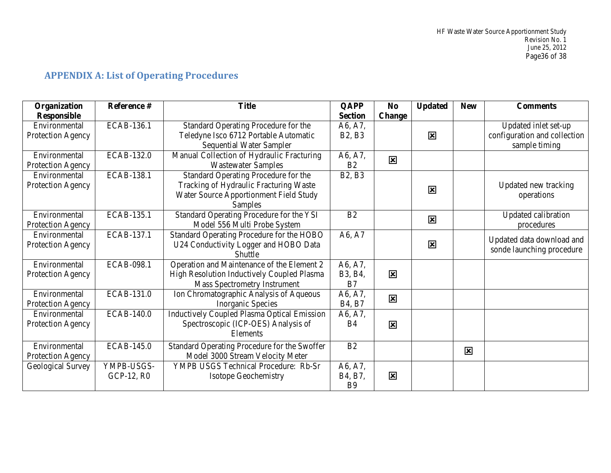| Organization       | Reference #       | <b>Title</b>                                       | <b>QAPP</b>                     | N <sub>0</sub>          | <b>Updated</b> | <b>New</b>              | <b>Comments</b>              |
|--------------------|-------------------|----------------------------------------------------|---------------------------------|-------------------------|----------------|-------------------------|------------------------------|
| <b>Responsible</b> |                   |                                                    | <b>Section</b>                  | <b>Change</b>           |                |                         |                              |
| Environmental      | ECAB-136.1        | Standard Operating Procedure for the               | A6, A7,                         |                         |                |                         | Updated inlet set-up         |
| Protection Agency  |                   | Teledyne Isco 6712 Portable Automatic              | <b>B2, B3</b>                   |                         | 区              |                         | configuration and collection |
|                    |                   | <b>Sequential Water Sampler</b>                    |                                 |                         |                |                         | sample timing                |
| Environmental      | <b>ECAB-132.0</b> | Manual Collection of Hydraulic Fracturing          | A6, A7,                         | 図                       |                |                         |                              |
| Protection Agency  |                   | <b>Wastewater Samples</b>                          | B <sub>2</sub>                  |                         |                |                         |                              |
| Environmental      | <b>ECAB-138.1</b> | Standard Operating Procedure for the               | <b>B2, B3</b>                   |                         |                |                         |                              |
| Protection Agency  |                   | Tracking of Hydraulic Fracturing Waste             |                                 |                         | 区              |                         | Updated new tracking         |
|                    |                   | Water Source Apportionment Field Study             |                                 |                         |                |                         | operations                   |
|                    |                   | Samples                                            |                                 |                         |                |                         |                              |
| Environmental      | ECAB-135.1        | Standard Operating Procedure for the YSI           | B2                              |                         | 図              |                         | Updated calibration          |
| Protection Agency  |                   | Model 556 Multi Probe System                       |                                 |                         |                |                         | procedures                   |
| Environmental      | ECAB-137.1        | Standard Operating Procedure for the HOBO          | A6, A7                          |                         |                |                         | Updated data download and    |
| Protection Agency  |                   | U24 Conductivity Logger and HOBO Data              |                                 |                         | 区              |                         | sonde launching procedure    |
|                    |                   | Shuttle                                            |                                 |                         |                |                         |                              |
| Environmental      | <b>ECAB-098.1</b> | Operation and Maintenance of the Element 2         | A6, A7,                         |                         |                |                         |                              |
| Protection Agency  |                   | High Resolution Inductively Coupled Plasma         | B3, B4,                         | 図                       |                |                         |                              |
|                    |                   | <b>Mass Spectrometry Instrument</b>                | B7                              |                         |                |                         |                              |
| Environmental      | ECAB-131.0        | Ion Chromatographic Analysis of Aqueous            | A6, A7,                         | 図                       |                |                         |                              |
| Protection Agency  |                   | Inorganic Species                                  | B <sub>4</sub> , B <sub>7</sub> |                         |                |                         |                              |
| Environmental      | <b>ECAB-140.0</b> | <b>Inductively Coupled Plasma Optical Emission</b> | A6, A7,                         |                         |                |                         |                              |
| Protection Agency  |                   | Spectroscopic (ICP-OES) Analysis of                | <b>B4</b>                       | 図                       |                |                         |                              |
|                    |                   | Elements                                           |                                 |                         |                |                         |                              |
| Environmental      | <b>ECAB-145.0</b> | Standard Operating Procedure for the Swoffer       | B2                              |                         |                |                         |                              |
| Protection Agency  |                   | Model 3000 Stream Velocity Meter                   |                                 |                         |                | $\mathbf{\overline{x}}$ |                              |
| Geological Survey  | YMPB-USGS-        | YMPB USGS Technical Procedure: Rb-Sr               | A6, A7,                         |                         |                |                         |                              |
|                    | GCP-12, R0        | <b>Isotope Geochemistry</b>                        | B4, B7,                         | $\overline{\mathbf{x}}$ |                |                         |                              |
|                    |                   |                                                    | <b>B9</b>                       |                         |                |                         |                              |

# **APPENDIX A: List of Operating Procedures**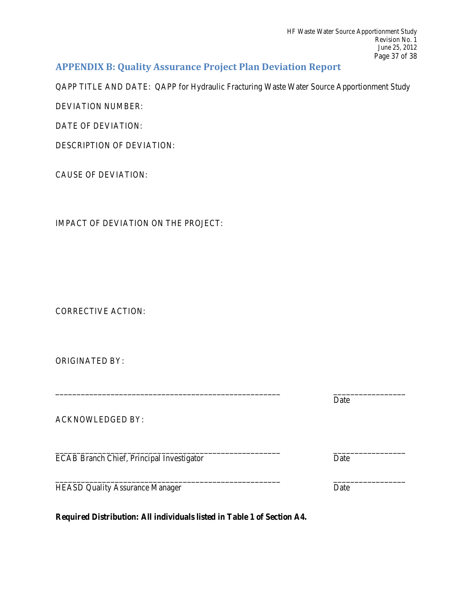### **APPENDIX B: Quality Assurance Project Plan Deviation Report**

QAPP TITLE AND DATE: QAPP for Hydraulic Fracturing Waste Water Source Apportionment Study

DEVIATION NUMBER:

DATE OF DEVIATION:

DESCRIPTION OF DEVIATION:

CAUSE OF DEVIATION:

IMPACT OF DEVIATION ON THE PROJECT:

CORRECTIVE ACTION:

ORIGINATED BY:

|                                                  | Date |
|--------------------------------------------------|------|
| <b>ACKNOWLEDGED BY:</b>                          |      |
| <b>ECAB Branch Chief, Principal Investigator</b> | Date |
| <b>HEASD Quality Assurance Manager</b>           | Date |

**Required Distribution: All individuals listed in Table 1 of Section A4.**